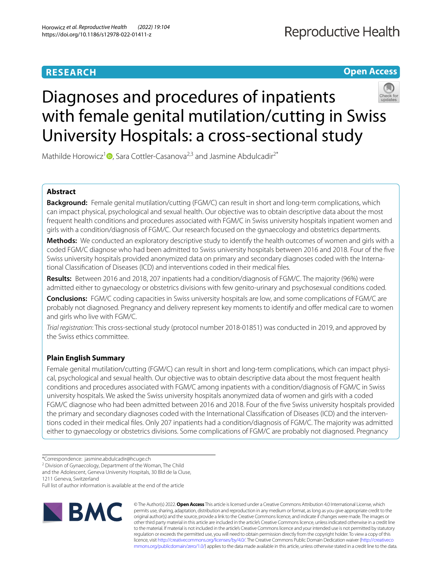# **RESEARCH**

**Open Access**

# Diagnoses and procedures of inpatients with female genital mutilation/cutting in Swiss University Hospitals: a cross-sectional study



Mathilde Horowicz<sup>1</sup> $\bullet$ [,](http://orcid.org/0000-0002-0849-846X) Sara Cottler-Casanova<sup>2,3</sup> and Jasmine Abdulcadir<sup>2\*</sup>

# **Abstract**

**Background:** Female genital mutilation/cutting (FGM/C) can result in short and long-term complications, which can impact physical, psychological and sexual health. Our objective was to obtain descriptive data about the most frequent health conditions and procedures associated with FGM/C in Swiss university hospitals inpatient women and girls with a condition/diagnosis of FGM/C. Our research focused on the gynaecology and obstetrics departments.

**Methods:** We conducted an exploratory descriptive study to identify the health outcomes of women and girls with a coded FGM/C diagnose who had been admitted to Swiss university hospitals between 2016 and 2018. Four of the fve Swiss university hospitals provided anonymized data on primary and secondary diagnoses coded with the International Classifcation of Diseases (ICD) and interventions coded in their medical fles.

**Results:** Between 2016 and 2018, 207 inpatients had a condition/diagnosis of FGM/C. The majority (96%) were admitted either to gynaecology or obstetrics divisions with few genito-urinary and psychosexual conditions coded.

**Conclusions:** FGM/C coding capacities in Swiss university hospitals are low, and some complications of FGM/C are probably not diagnosed. Pregnancy and delivery represent key moments to identify and ofer medical care to women and girls who live with FGM/C.

*Trial registration*: This cross-sectional study (protocol number 2018-01851) was conducted in 2019, and approved by the Swiss ethics committee.

# **Plain English Summary**

Female genital mutilation/cutting (FGM/C) can result in short and long-term complications, which can impact physical, psychological and sexual health. Our objective was to obtain descriptive data about the most frequent health conditions and procedures associated with FGM/C among inpatients with a condition/diagnosis of FGM/C in Swiss university hospitals. We asked the Swiss university hospitals anonymized data of women and girls with a coded FGM/C diagnose who had been admitted between 2016 and 2018. Four of the fve Swiss university hospitals provided the primary and secondary diagnoses coded with the International Classification of Diseases (ICD) and the interventions coded in their medical fles. Only 207 inpatients had a condition/diagnosis of FGM/C. The majority was admitted either to gynaecology or obstetrics divisions. Some complications of FGM/C are probably not diagnosed. Pregnancy

<sup>2</sup> Division of Gynaecology, Department of the Woman, The Child

and the Adolescent, Geneva University Hospitals, 30 Bld de la Cluse,

1211 Geneva, Switzerland

Full list of author information is available at the end of the article



© The Author(s) 2022. **Open Access** This article is licensed under a Creative Commons Attribution 4.0 International License, which permits use, sharing, adaptation, distribution and reproduction in any medium or format, as long as you give appropriate credit to the original author(s) and the source, provide a link to the Creative Commons licence, and indicate if changes were made. The images or other third party material in this article are included in the article's Creative Commons licence, unless indicated otherwise in a credit line to the material. If material is not included in the article's Creative Commons licence and your intended use is not permitted by statutory regulation or exceeds the permitted use, you will need to obtain permission directly from the copyright holder. To view a copy of this licence, visit [http://creativecommons.org/licenses/by/4.0/.](http://creativecommons.org/licenses/by/4.0/) The Creative Commons Public Domain Dedication waiver ([http://creativeco](http://creativecommons.org/publicdomain/zero/1.0/) [mmons.org/publicdomain/zero/1.0/](http://creativecommons.org/publicdomain/zero/1.0/)) applies to the data made available in this article, unless otherwise stated in a credit line to the data.

<sup>\*</sup>Correspondence: jasmine.abdulcadir@hcuge.ch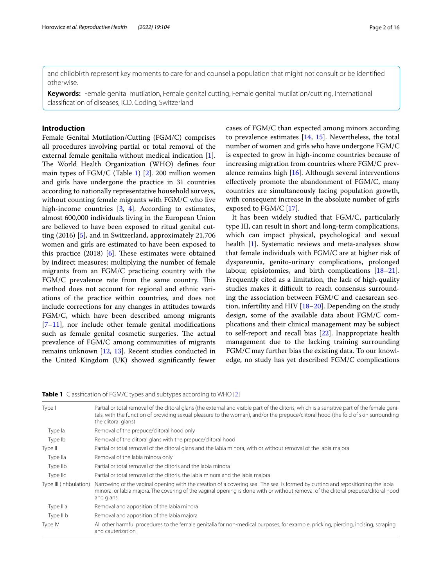and childbirth represent key moments to care for and counsel a population that might not consult or be identifed otherwise.

**Keywords:** Female genital mutilation, Female genital cutting, Female genital mutilation/cutting, International classifcation of diseases, ICD, Coding, Switzerland

# **Introduction**

Female Genital Mutilation/Cutting (FGM/C) comprises all procedures involving partial or total removal of the external female genitalia without medical indication [\[1](#page-13-0)]. The World Health Organization (WHO) defines four main types of FGM/C (Table [1](#page-1-0)) [\[2\]](#page-13-1). 200 million women and girls have undergone the practice in 31 countries according to nationally representative household surveys, without counting female migrants with FGM/C who live high-income countries [[3,](#page-13-2) [4\]](#page-13-3). According to estimates, almost 600,000 individuals living in the European Union are believed to have been exposed to ritual genital cutting (2016) [[5](#page-13-4)], and in Switzerland, approximately 21,706 women and girls are estimated to have been exposed to this practice  $(2018)$  [\[6\]](#page-14-0). These estimates were obtained by indirect measures: multiplying the number of female migrants from an FGM/C practicing country with the FGM/C prevalence rate from the same country. This method does not account for regional and ethnic variations of the practice within countries, and does not include corrections for any changes in attitudes towards FGM/C, which have been described among migrants  $[7-11]$  $[7-11]$ , nor include other female genital modifications such as female genital cosmetic surgeries. The actual prevalence of FGM/C among communities of migrants remains unknown [\[12](#page-14-3), [13\]](#page-14-4). Recent studies conducted in the United Kingdom (UK) showed signifcantly fewer cases of FGM/C than expected among minors according to prevalence estimates [[14](#page-14-5), [15](#page-14-6)]. Nevertheless, the total number of women and girls who have undergone FGM/C is expected to grow in high-income countries because of increasing migration from countries where FGM/C prevalence remains high [\[16](#page-14-7)]. Although several interventions efectively promote the abandonment of FGM/C, many countries are simultaneously facing population growth, with consequent increase in the absolute number of girls exposed to FGM/C [[17](#page-14-8)].

It has been widely studied that FGM/C, particularly type III, can result in short and long-term complications, which can impact physical, psychological and sexual health [[1\]](#page-13-0). Systematic reviews and meta-analyses show that female individuals with FGM/C are at higher risk of dyspareunia, genito-urinary complications, prolonged labour, episiotomies, and birth complications [[18](#page-14-9)[–21](#page-14-10)]. Frequently cited as a limitation, the lack of high-quality studies makes it difficult to reach consensus surrounding the association between FGM/C and caesarean section, infertility and HIV  $[18–20]$  $[18–20]$  $[18–20]$ . Depending on the study design, some of the available data about FGM/C complications and their clinical management may be subject to self-report and recall bias [\[22](#page-14-12)]. Inappropriate health management due to the lacking training surrounding FGM/C may further bias the existing data. To our knowledge, no study has yet described FGM/C complications

<span id="page-1-0"></span>**Table 1** Classification of FGM/C types and subtypes according to WHO [[2](#page-13-1)]

| Type I                  | Partial or total removal of the clitoral glans (the external and visible part of the clitoris, which is a sensitive part of the female geni-<br>tals, with the function of providing sexual pleasure to the woman), and/or the prepuce/clitoral hood (the fold of skin surrounding<br>the clitoral glans) |
|-------------------------|-----------------------------------------------------------------------------------------------------------------------------------------------------------------------------------------------------------------------------------------------------------------------------------------------------------|
| Type la                 | Removal of the prepuce/clitoral hood only                                                                                                                                                                                                                                                                 |
| Type Ib                 | Removal of the clitoral glans with the prepuce/clitoral hood                                                                                                                                                                                                                                              |
| Type II                 | Partial or total removal of the clitoral glans and the labia minora, with or without removal of the labia majora                                                                                                                                                                                          |
| Type lla                | Removal of the labia minora only                                                                                                                                                                                                                                                                          |
| Type IIb                | Partial or total removal of the clitoris and the labia minora                                                                                                                                                                                                                                             |
| Type IIc                | Partial or total removal of the clitoris, the labia minora and the labia majora                                                                                                                                                                                                                           |
| Type III (Infibulation) | Narrowing of the vaginal opening with the creation of a covering seal. The seal is formed by cutting and repositioning the labia<br>minora, or labia majora. The covering of the vaginal opening is done with or without removal of the clitoral prepuce/clitoral hood<br>and glans                       |
| Type IIIa               | Removal and apposition of the labia minora                                                                                                                                                                                                                                                                |
| Type IIIb               | Removal and apposition of the labia majora                                                                                                                                                                                                                                                                |
| Type IV                 | All other harmful procedures to the female genitalia for non-medical purposes, for example, pricking, piercing, incising, scraping<br>and cauterization                                                                                                                                                   |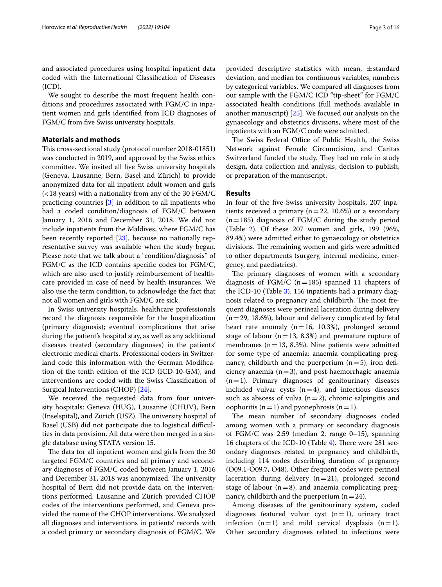and associated procedures using hospital inpatient data coded with the International Classifcation of Diseases (ICD).

We sought to describe the most frequent health conditions and procedures associated with FGM/C in inpatient women and girls identifed from ICD diagnoses of FGM/C from fve Swiss university hospitals.

## **Materials and methods**

This cross-sectional study (protocol number 2018-01851) was conducted in 2019, and approved by the Swiss ethics committee. We invited all fve Swiss university hospitals (Geneva, Lausanne, Bern, Basel and Zürich) to provide anonymized data for all inpatient adult women and girls  $(<$ 18 years) with a nationality from any of the 30 FGM/C practicing countries [[3](#page-13-2)] in addition to all inpatients who had a coded condition/diagnosis of FGM/C between January 1, 2016 and December 31, 2018. We did not include inpatients from the Maldives, where FGM/C has been recently reported [[23](#page-14-13)], because no nationally representative survey was available when the study began. Please note that we talk about a "condition/diagnosis" of FGM/C as the ICD contains specifc codes for FGM/C, which are also used to justify reimbursement of healthcare provided in case of need by health insurances. We also use the term condition, to acknowledge the fact that not all women and girls with FGM/C are sick.

In Swiss university hospitals, healthcare professionals record the diagnosis responsible for the hospitalization (primary diagnosis); eventual complications that arise during the patient's hospital stay, as well as any additional diseases treated (secondary diagnoses) in the patients' electronic medical charts. Professional coders in Switzerland code this information with the German Modifcation of the tenth edition of the ICD (ICD-10-GM), and interventions are coded with the Swiss Classifcation of Surgical Interventions (CHOP) [[24\]](#page-14-14).

We received the requested data from four university hospitals: Geneva (HUG), Lausanne (CHUV), Bern (Inselspital), and Zürich (USZ). The university hospital of Basel (USB) did not participate due to logistical difficulties in data provision. All data were then merged in a single database using STATA version 15.

The data for all inpatient women and girls from the 30 targeted FGM/C countries and all primary and secondary diagnoses of FGM/C coded between January 1, 2016 and December 31, 2018 was anonymized. The university hospital of Bern did not provide data on the interventions performed. Lausanne and Zürich provided CHOP codes of the interventions performed, and Geneva provided the name of the CHOP interventions. We analyzed all diagnoses and interventions in patients' records with a coded primary or secondary diagnosis of FGM/C. We provided descriptive statistics with mean,  $\pm$  standard deviation, and median for continuous variables, numbers by categorical variables. We compared all diagnoses from our sample with the FGM/C ICD "tip-sheet" for FGM/C associated health conditions (full methods available in another manuscript) [\[25](#page-14-15)]. We focused our analysis on the gynaecology and obstetrics divisions, where most of the inpatients with an FGM/C code were admitted.

The Swiss Federal Office of Public Health, the Swiss Network against Female Circumcision, and Caritas Switzerland funded the study. They had no role in study design, data collection and analysis, decision to publish, or preparation of the manuscript.

# **Results**

In four of the fve Swiss university hospitals, 207 inpatients received a primary ( $n=22$ , 10.6%) or a secondary  $(n=185)$  diagnosis of FGM/C during the study period (Table [2\)](#page-3-0). Of these 207 women and girls, 199 (96%, 89.4%) were admitted either to gynaecology or obstetrics divisions. The remaining women and girls were admitted to other departments (surgery, internal medicine, emergency, and paediatrics).

The primary diagnoses of women with a secondary diagnosis of FGM/C ( $n=185$ ) spanned 11 chapters of the ICD-10 (Table [3\)](#page-4-0). 156 inpatients had a primary diagnosis related to pregnancy and childbirth. The most frequent diagnoses were perineal laceration during delivery  $(n=29, 18.6\%)$ , labour and delivery complicated by fetal heart rate anomaly ( $n=16$ , 10.3%), prolonged second stage of labour ( $n=13$ , 8.3%) and premature rupture of membranes ( $n=13$ , 8.3%). Nine patients were admitted for some type of anaemia: anaemia complicating pregnancy, childbirth and the puerperium  $(n=5)$ , iron deficiency anaemia  $(n=3)$ , and post-haemorrhagic anaemia  $(n=1)$ . Primary diagnoses of genitourinary diseases included vulvar cysts  $(n=4)$ , and infectious diseases such as abscess of vulva  $(n=2)$ , chronic salpingitis and oophoritis ( $n=1$ ) and pyonephrosis ( $n=1$ ).

The mean number of secondary diagnoses coded among women with a primary or secondary diagnosis of FGM/C was 2.59 (median 2, range 0–15), spanning 16 chapters of the ICD-10 (Table  $4$ ). There were 281 secondary diagnoses related to pregnancy and childbirth, including 114 codes describing duration of pregnancy (O09.1-O09.7, O48). Other frequent codes were perineal laceration during delivery  $(n=21)$ , prolonged second stage of labour  $(n=8)$ , and anaemia complicating pregnancy, childbirth and the puerperium  $(n=24)$ .

Among diseases of the genitourinary system, coded diagnoses featured vulvar cyst  $(n=1)$ , urinary tract infection  $(n=1)$  and mild cervical dysplasia  $(n=1)$ . Other secondary diagnoses related to infections were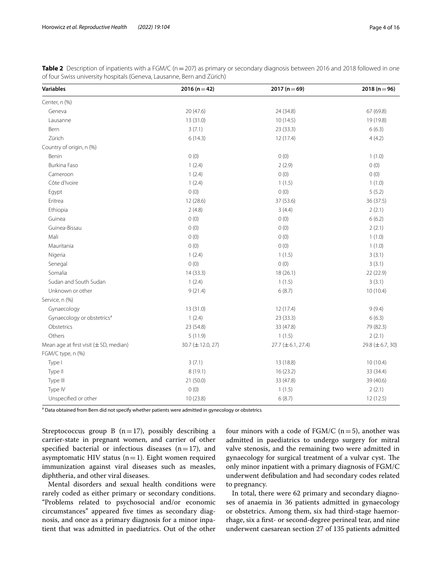<span id="page-3-0"></span>

| Table 2 Description of inpatients with a FGM/C (n = 207) as primary or secondary diagnosis between 2016 and 2018 followed in one |  |
|----------------------------------------------------------------------------------------------------------------------------------|--|
| of four Swiss university hospitals (Geneva, Lausanne, Bern and Zürich)                                                           |  |

| <b>Variables</b>                                  | 2016 $(n=42)$     | 2017 $(n=69)$          | 2018 $(n=96)$   |
|---------------------------------------------------|-------------------|------------------------|-----------------|
| Center, n (%)                                     |                   |                        |                 |
| Geneva                                            | 20 (47.6)         | 24 (34.8)              | 67 (69.8)       |
| Lausanne                                          | 13 (31.0)         | 10(14.5)               | 19 (19.8)       |
| Bern                                              | 3(7.1)            | 23 (33.3)              | 6(6.3)          |
| Zürich                                            | 6(14.3)           | 12(17.4)               | 4(4.2)          |
| Country of origin, n (%)                          |                   |                        |                 |
| Benin                                             | 0(0)              | 0(0)                   | 1(1.0)          |
| Burkina Faso                                      | 1(2.4)            | 2(2.9)                 | 0(0)            |
| Cameroon                                          | 1(2.4)            | 0(0)                   | 0(0)            |
| Côte d'Ivoire                                     | 1(2.4)            | 1(1.5)                 | 1(1.0)          |
| Egypt                                             | 0(0)              | 0(0)                   | 5(5.2)          |
| Eritrea                                           | 12 (28.6)         | 37 (53.6)              | 36 (37.5)       |
| Ethiopia                                          | 2(4.8)            | 3(4.4)                 | 2(2.1)          |
| Guinea                                            | 0(0)              | 0(0)                   | 6(6.2)          |
| Guinea-Bissau                                     | 0(0)              | 0(0)                   | 2(2.1)          |
| Mali                                              | 0(0)              | 0(0)                   | 1(1.0)          |
| Mauritania                                        | 0(0)              | 0(0)                   | 1(1.0)          |
| Nigeria                                           | 1(2.4)            | 1(1.5)                 | 3(3.1)          |
| Senegal                                           | 0(0)              | 0(0)                   | 3(3.1)          |
| Somalia                                           | 14(33.3)          | 18(26.1)               | 22 (22.9)       |
| Sudan and South Sudan                             | 1(2.4)            | 1(1.5)                 | 3(3.1)          |
| Unknown or other                                  | 9(21.4)           | 6(8.7)                 | 10(10.4)        |
| Service, n (%)                                    |                   |                        |                 |
| Gynaecology                                       | 13 (31.0)         | 12 (17.4)              | 9(9.4)          |
| Gynaecology or obstetrics <sup>a</sup>            | 1(2.4)            | 23(33.3)               | 6(6.3)          |
| Obstetrics                                        | 23 (54.8)         | 33 (47.8)              | 79 (82.3)       |
| Others                                            | 5(11.9)           | 1(1.5)                 | 2(2.1)          |
| Mean age at first visit $(\pm SD, \text{median})$ | 30.7 (± 12.0, 27) | $27.7 (\pm 6.1, 27.4)$ | 29.8 (±6.7, 30) |
| FGM/C type, n (%)                                 |                   |                        |                 |
| Type I                                            | 3(7.1)            | 13 (18.8)              | 10(10.4)        |
| Type II                                           | 8(19.1)           | 16(23.2)               | 33 (34.4)       |
| Type III                                          | 21(50.0)          | 33 (47.8)              | 39 (40.6)       |
| Type IV                                           | 0(0)              | 1(1.5)                 | 2(2.1)          |
| Unspecified or other                              | 10 (23.8)         | 6(8.7)                 | 12 (12.5)       |

<sup>a</sup> Data obtained from Bern did not specify whether patients were admitted in gynecology or obstetrics

Streptococcus group B  $(n=17)$ , possibly describing a carrier-state in pregnant women, and carrier of other specified bacterial or infectious diseases  $(n=17)$ , and asymptomatic HIV status  $(n=1)$ . Eight women required immunization against viral diseases such as measles, diphtheria, and other viral diseases.

Mental disorders and sexual health conditions were rarely coded as either primary or secondary conditions. "Problems related to psychosocial and/or economic circumstances" appeared fve times as secondary diagnosis, and once as a primary diagnosis for a minor inpatient that was admitted in paediatrics. Out of the other four minors with a code of  $FGM/C$  (n=5), another was admitted in paediatrics to undergo surgery for mitral valve stenosis, and the remaining two were admitted in gynaecology for surgical treatment of a vulvar cyst. The only minor inpatient with a primary diagnosis of FGM/C underwent defbulation and had secondary codes related to pregnancy.

In total, there were 62 primary and secondary diagnoses of anaemia in 36 patients admitted in gynaecology or obstetrics. Among them, six had third-stage haemorrhage, six a frst- or second-degree perineal tear, and nine underwent caesarean section 27 of 135 patients admitted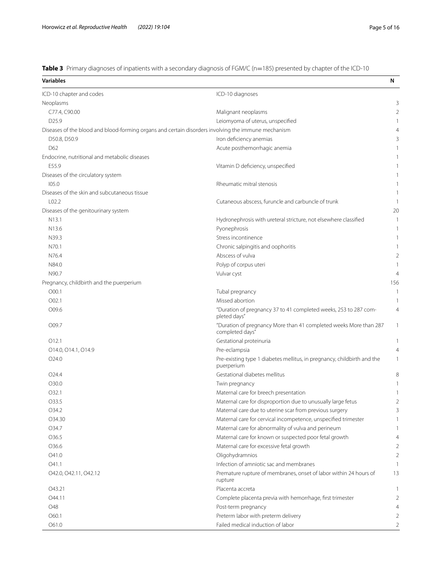<span id="page-4-0"></span>**Table 3** Primary diagnoses of inpatients with a secondary diagnosis of FGM/C (n=185) presented by chapter of the ICD-10

| <b>Variables</b>                                                                                    |                                                                                       | N              |
|-----------------------------------------------------------------------------------------------------|---------------------------------------------------------------------------------------|----------------|
| ICD-10 chapter and codes                                                                            | ICD-10 diagnoses                                                                      |                |
| Neoplasms                                                                                           |                                                                                       | 3              |
| C77.4, C90.00                                                                                       | Malignant neoplasms                                                                   | $\overline{2}$ |
| D25.9                                                                                               | Leiomyoma of uterus, unspecified                                                      |                |
| Diseases of the blood and blood-forming organs and certain disorders involving the immune mechanism |                                                                                       | 4              |
| D50.8, D50.9                                                                                        | Iron deficiency anemias                                                               | 3              |
| D62                                                                                                 | Acute posthemorrhagic anemia                                                          |                |
| Endocrine, nutritional and metabolic diseases                                                       |                                                                                       |                |
| E55.9                                                                                               | Vitamin D deficiency, unspecified                                                     |                |
| Diseases of the circulatory system                                                                  |                                                                                       |                |
| 105.0                                                                                               | Rheumatic mitral stenosis                                                             |                |
| Diseases of the skin and subcutaneous tissue                                                        |                                                                                       |                |
| L <sub>02.2</sub>                                                                                   | Cutaneous abscess, furuncle and carbuncle of trunk                                    | 1              |
| Diseases of the genitourinary system                                                                |                                                                                       | 20             |
| N13.1                                                                                               | Hydronephrosis with ureteral stricture, not elsewhere classified                      | 1              |
| N <sub>13.6</sub>                                                                                   | Pyonephrosis                                                                          | 1              |
| N39.3                                                                                               | Stress incontinence                                                                   |                |
| N70.1                                                                                               | Chronic salpingitis and oophoritis                                                    |                |
| N76.4                                                                                               | Abscess of vulva                                                                      | 2              |
| N84.0                                                                                               | Polyp of corpus uteri                                                                 |                |
| N90.7                                                                                               | Vulvar cyst                                                                           | 4              |
| Pregnancy, childbirth and the puerperium                                                            |                                                                                       | 156            |
| O 00.1                                                                                              | Tubal pregnancy                                                                       | $\overline{1}$ |
| O <sub>02.1</sub>                                                                                   | Missed abortion                                                                       | 1              |
| O09.6                                                                                               | "Duration of pregnancy 37 to 41 completed weeks, 253 to 287 com-<br>pleted days"      | $\overline{4}$ |
| O09.7                                                                                               | "Duration of pregnancy More than 41 completed weeks More than 287<br>completed days"  | $\mathbf{1}$   |
| 012.1                                                                                               | Gestational proteinuria                                                               | 1              |
| O14.0, O14.1, O14.9                                                                                 | Pre-eclampsia                                                                         | 4              |
| O <sub>24.0</sub>                                                                                   | Pre-existing type 1 diabetes mellitus, in pregnancy, childbirth and the<br>puerperium | 1              |
| O <sub>24.4</sub>                                                                                   | Gestational diabetes mellitus                                                         | 8              |
| O30.0                                                                                               | Twin pregnancy                                                                        | 1              |
| O32.1                                                                                               | Maternal care for breech presentation                                                 |                |
| O33.5                                                                                               | Maternal care for disproportion due to unusually large fetus                          | 2              |
| O34.2                                                                                               | Maternal care due to uterine scar from previous surgery                               | 3              |
| O34.30                                                                                              | Maternal care for cervical incompetence, unspecified trimester                        | 1              |
| O34.7                                                                                               | Maternal care for abnormality of vulva and perineum                                   | 1              |
| O36.5                                                                                               | Maternal care for known or suspected poor fetal growth                                | $\overline{4}$ |
| O36.6                                                                                               | Maternal care for excessive fetal growth                                              | 2              |
| O41.0                                                                                               | Oligohydramnios                                                                       | $\overline{2}$ |
| O41.1                                                                                               | Infection of amniotic sac and membranes                                               | 1              |
| O42.0, O42.11, O42.12                                                                               | Premature rupture of membranes, onset of labor within 24 hours of<br>rupture          | 13             |
| O43.21                                                                                              | Placenta accreta                                                                      | 1              |
| 044.11                                                                                              | Complete placenta previa with hemorrhage, first trimester                             | 2              |
| O48                                                                                                 | Post-term pregnancy                                                                   | $\overline{4}$ |
| O60.1                                                                                               | Preterm labor with preterm delivery                                                   | 2              |
| O61.0                                                                                               | Failed medical induction of labor                                                     | $\overline{2}$ |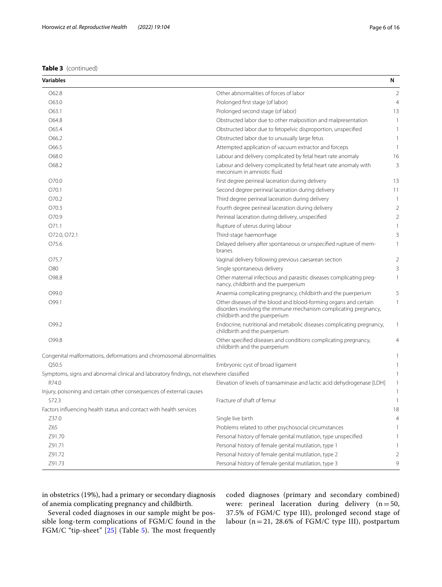| Variables                                                                               |                                                                                                                                                                       | N              |
|-----------------------------------------------------------------------------------------|-----------------------------------------------------------------------------------------------------------------------------------------------------------------------|----------------|
| O62.8                                                                                   | Other abnormalities of forces of labor                                                                                                                                | 2              |
| O63.0                                                                                   | Prolonged first stage (of labor)                                                                                                                                      | $\overline{4}$ |
| O63.1                                                                                   | Prolonged second stage (of labor)                                                                                                                                     | 13             |
| O64.8                                                                                   | Obstructed labor due to other malposition and malpresentation                                                                                                         | -1             |
| O65.4                                                                                   | Obstructed labor due to fetopelvic disproportion, unspecified                                                                                                         | 1              |
| O66.2                                                                                   | Obstructed labor due to unusually large fetus                                                                                                                         | 1              |
| O66.5                                                                                   | Attempted application of vacuum extractor and forceps                                                                                                                 | -1             |
| O68.0                                                                                   | Labour and delivery complicated by fetal heart rate anomaly                                                                                                           | 16             |
| O68.2                                                                                   | Labour and delivery complicated by fetal heart rate anomaly with<br>meconium in amniotic fluid                                                                        | 3              |
| O70.0                                                                                   | First degree perineal laceration during delivery                                                                                                                      | 13             |
| O70.1                                                                                   | Second degree perineal laceration during delivery                                                                                                                     | 11             |
| O70.2                                                                                   | Third degree perineal laceration during delivery                                                                                                                      | 1              |
| O70.3                                                                                   | Fourth degree perineal laceration during delivery                                                                                                                     | 2              |
| O70.9                                                                                   | Perineal laceration during delivery, unspecified                                                                                                                      | $\overline{2}$ |
| O71.1                                                                                   | Rupture of uterus during labour                                                                                                                                       | 1              |
| 072.0, 072.1                                                                            | Third-stage haemorrhage                                                                                                                                               | 3              |
| O75.6                                                                                   | Delayed delivery after spontaneous or unspecified rupture of mem-<br>branes                                                                                           | 1              |
| O75.7                                                                                   | Vaginal delivery following previous caesarean section                                                                                                                 | $\overline{2}$ |
| O80                                                                                     | Single spontaneous delivery                                                                                                                                           | 3              |
| O98.8                                                                                   | Other maternal infectious and parasitic diseases complicating preg-<br>nancy, childbirth and the puerperium                                                           | 1              |
| O99.0                                                                                   | Anaemia complicating pregnancy, childbirth and the puerperium                                                                                                         | 5              |
| O99.1                                                                                   | Other diseases of the blood and blood-forming organs and certain<br>disorders involving the immune mechanism complicating pregnancy,<br>childbirth and the puerperium | 1              |
| O99.2                                                                                   | Endocrine, nutritional and metabolic diseases complicating pregnancy,<br>childbirth and the puerperium                                                                | 1              |
| O99.8                                                                                   | Other specified diseases and conditions complicating pregnancy,<br>childbirth and the puerperium                                                                      | $\overline{4}$ |
| Congenital malformations, deformations and chromosomal abnormalities                    |                                                                                                                                                                       |                |
| Q50.5                                                                                   | Embryonic cyst of broad ligament                                                                                                                                      |                |
| Symptoms, signs and abnormal clinical and laboratory findings, not elsewhere classified |                                                                                                                                                                       |                |
| R74.0                                                                                   | Elevation of levels of transaminase and lactic acid dehydrogenase [LDH]                                                                                               | 1              |
| Injury, poisoning and certain other consequences of external causes                     |                                                                                                                                                                       |                |
| S72.3                                                                                   | Fracture of shaft of femur                                                                                                                                            | 1              |
| Factors influencing health status and contact with health services                      |                                                                                                                                                                       | 18             |
| Z37.0                                                                                   | Single live birth                                                                                                                                                     | 4              |
| Z65                                                                                     | Problems related to other psychosocial circumstances                                                                                                                  |                |
| Z91.70                                                                                  | Personal history of female genital mutilation, type unspecified                                                                                                       |                |
| Z91.71                                                                                  | Personal history of female genital mutilation, type 1                                                                                                                 |                |
| Z91.72                                                                                  | Personal history of female genital mutilation, type 2                                                                                                                 | 2              |
| Z91.73                                                                                  | Personal history of female genital mutilation, type 3                                                                                                                 | 9              |

in obstetrics (19%), had a primary or secondary diagnosis of anemia complicating pregnancy and childbirth.

Several coded diagnoses in our sample might be possible long-term complications of FGM/C found in the FGM/C "tip-sheet" [\[25](#page-14-15)] (Table [5](#page-10-0)). The most frequently coded diagnoses (primary and secondary combined) were: perineal laceration during delivery  $(n=50,$ 37.5% of FGM/C type III), prolonged second stage of labour (n=21, 28.6% of FGM/C type III), postpartum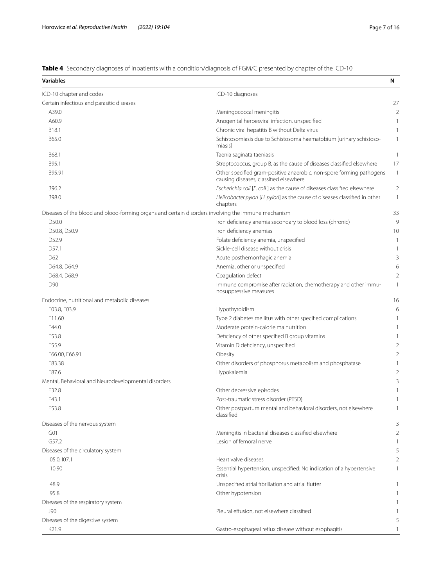<span id="page-6-0"></span>**Table 4** Secondary diagnoses of inpatients with a condition/diagnosis of FGM/C presented by chapter of the ICD-10

| <b>Variables</b>                                                                                    |                                                                                                                | N              |
|-----------------------------------------------------------------------------------------------------|----------------------------------------------------------------------------------------------------------------|----------------|
| ICD-10 chapter and codes                                                                            | ICD-10 diagnoses                                                                                               |                |
| Certain infectious and parasitic diseases                                                           |                                                                                                                | 27             |
| A39.0                                                                                               | Meningococcal meningitis                                                                                       |                |
| A60.9                                                                                               | Anogenital herpesviral infection, unspecified                                                                  |                |
| B <sub>18.1</sub>                                                                                   | Chronic viral hepatitis B without Delta virus                                                                  |                |
| B65.0                                                                                               | Schistosomiasis due to Schistosoma haematobium [urinary schistoso-<br>miasisl                                  | 1              |
| B68.1                                                                                               | Taenia saginata taeniasis                                                                                      | 1              |
| B95.1                                                                                               | Streptococcus, group B, as the cause of diseases classified elsewhere                                          | 17             |
| B95.91                                                                                              | Other specified gram-positive anaerobic, non-spore forming pathogens<br>causing diseases, classified elsewhere | $\mathbf{1}$   |
| B96.2                                                                                               | Escherichia coli [E. coli] as the cause of diseases classified elsewhere                                       | 2              |
| B98.0                                                                                               | Helicobacter pylori [H. pylori] as the cause of diseases classified in other<br>chapters                       | 1              |
| Diseases of the blood and blood-forming organs and certain disorders involving the immune mechanism |                                                                                                                | 33             |
| D50.0                                                                                               | Iron deficiency anemia secondary to blood loss (chronic)                                                       | ç              |
| D50.8, D50.9                                                                                        | Iron deficiency anemias                                                                                        | 1 <sup>C</sup> |
| D52.9                                                                                               | Folate deficiency anemia, unspecified                                                                          |                |
| D57.1                                                                                               | Sickle-cell disease without crisis                                                                             |                |
| D62                                                                                                 | Acute posthemorrhagic anemia                                                                                   | 3              |
| D64.8, D64.9                                                                                        | Anemia, other or unspecified                                                                                   | б              |
| D68.4, D68.9                                                                                        | Coagulation defect                                                                                             | 2              |
| D90                                                                                                 | Immune compromise after radiation, chemotherapy and other immu-<br>nosuppressive measures                      | 1              |
| Endocrine, nutritional and metabolic diseases                                                       |                                                                                                                | 16             |
| E03.8, E03.9                                                                                        | Hypothyroidism                                                                                                 | б              |
| E11.60                                                                                              | Type 2 diabetes mellitus with other specified complications                                                    |                |
| E44.0                                                                                               | Moderate protein-calorie malnutrition                                                                          |                |
| E53.8                                                                                               | Deficiency of other specified B group vitamins                                                                 |                |
| E55.9                                                                                               | Vitamin D deficiency, unspecified                                                                              |                |
| E66.00, E66.91                                                                                      | Obesity                                                                                                        |                |
| E83.38                                                                                              | Other disorders of phosphorus metabolism and phosphatase                                                       |                |
| E87.6                                                                                               | Hypokalemia                                                                                                    |                |
| Mental, Behavioral and Neurodevelopmental disorders                                                 |                                                                                                                |                |
| F32.8                                                                                               | Other depressive episodes                                                                                      |                |
| F43.1                                                                                               | Post-traumatic stress disorder (PTSD)                                                                          |                |
| F53.8                                                                                               | Other postpartum mental and behavioral disorders, not elsewhere<br>classified                                  |                |
| Diseases of the nervous system                                                                      |                                                                                                                |                |
| G <sub>01</sub>                                                                                     | Meningitis in bacterial diseases classified elsewhere                                                          |                |
| G57.2                                                                                               | Lesion of femoral nerve                                                                                        |                |
| Diseases of the circulatory system                                                                  |                                                                                                                |                |
| 105.0, 107.1                                                                                        | Heart valve diseases                                                                                           | 2              |
| 110.90                                                                                              | Essential hypertension, unspecified: No indication of a hypertensive<br>crisis                                 |                |
| 148.9                                                                                               | Unspecified atrial fibrillation and atrial flutter                                                             |                |
| 195.8                                                                                               | Other hypotension                                                                                              |                |
| Diseases of the respiratory system                                                                  |                                                                                                                |                |
| <b>J90</b>                                                                                          | Pleural effusion, not elsewhere classified                                                                     |                |
| Diseases of the digestive system                                                                    |                                                                                                                |                |
| K21.9                                                                                               | Gastro-esophageal reflux disease without esophagitis                                                           |                |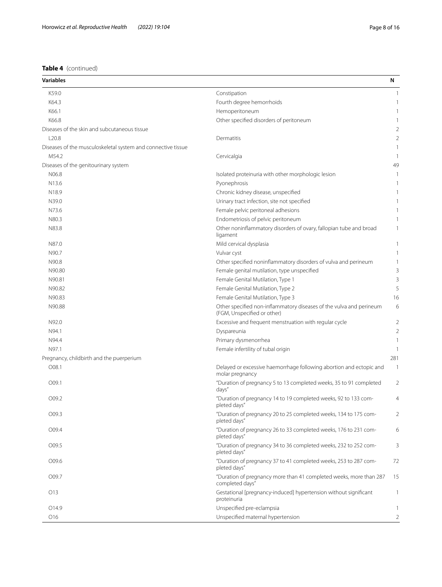# **Table 4** (continued)

| <b>Variables</b>                                             |                                                                                                    | N                        |
|--------------------------------------------------------------|----------------------------------------------------------------------------------------------------|--------------------------|
| K59.0                                                        | Constipation                                                                                       | -1                       |
| K64.3                                                        | Fourth degree hemorrhoids                                                                          | 1                        |
| K66.1                                                        | Hemoperitoneum                                                                                     | 1                        |
| K66.8                                                        | Other specified disorders of peritoneum                                                            | 1                        |
| Diseases of the skin and subcutaneous tissue                 |                                                                                                    | 2                        |
| L20.8                                                        | Dermatitis                                                                                         | 2                        |
| Diseases of the musculoskeletal system and connective tissue |                                                                                                    |                          |
| M54.2                                                        | Cervicalgia                                                                                        | 1                        |
| Diseases of the genitourinary system                         |                                                                                                    | 49                       |
| N06.8                                                        | Isolated proteinuria with other morphologic lesion                                                 | 1                        |
| N13.6                                                        | Pyonephrosis                                                                                       | 1                        |
| N18.9                                                        | Chronic kidney disease, unspecified                                                                |                          |
| N39.0                                                        | Urinary tract infection, site not specified                                                        |                          |
| N73.6                                                        |                                                                                                    |                          |
|                                                              | Female pelvic peritoneal adhesions                                                                 | 1                        |
| N80.3                                                        | Endometriosis of pelvic peritoneum                                                                 | 1                        |
| N83.8                                                        | Other noninflammatory disorders of ovary, fallopian tube and broad<br>ligament                     | 1                        |
| N87.0                                                        | Mild cervical dysplasia                                                                            | 1                        |
| N90.7                                                        | Vulvar cyst                                                                                        | 1                        |
| N90.8                                                        | Other specified noninflammatory disorders of vulva and perineum                                    | 1                        |
| N90.80                                                       | Female genital mutilation, type unspecified                                                        | 3                        |
| N90.81                                                       | Female Genital Mutilation, Type 1                                                                  | 3                        |
| N90.82                                                       | Female Genital Mutilation, Type 2                                                                  | 5                        |
|                                                              |                                                                                                    |                          |
| N90.83                                                       | Female Genital Mutilation, Type 3                                                                  | 16                       |
| N90.88                                                       | Other specified non-inflammatory diseases of the vulva and perineum<br>(FGM, Unspecified or other) | 6                        |
| N92.0                                                        | Excessive and frequent menstruation with regular cycle                                             | 2                        |
| N94.1                                                        | Dyspareunia                                                                                        | $\overline{2}$           |
| N94.4                                                        | Primary dysmenorrhea                                                                               | 1                        |
| N97.1                                                        | Female infertility of tubal origin                                                                 | -1                       |
| Pregnancy, childbirth and the puerperium                     |                                                                                                    | 281                      |
| O08.1                                                        | Delayed or excessive haemorrhage following abortion and ectopic and<br>molar pregnancy             | $\overline{\phantom{a}}$ |
| O09.1                                                        | "Duration of pregnancy 5 to 13 completed weeks, 35 to 91 completed<br>days"                        | $\overline{2}$           |
| O09.2                                                        | "Duration of pregnancy 14 to 19 completed weeks, 92 to 133 com-<br>pleted days"                    | 4                        |
| O09.3                                                        | "Duration of pregnancy 20 to 25 completed weeks, 134 to 175 com-<br>pleted days"                   | 2                        |
| O09.4                                                        | "Duration of pregnancy 26 to 33 completed weeks, 176 to 231 com-<br>pleted days"                   | 6                        |
| O09.5                                                        | "Duration of pregnancy 34 to 36 completed weeks, 232 to 252 com-<br>pleted days"                   | 3                        |
| O09.6                                                        | "Duration of pregnancy 37 to 41 completed weeks, 253 to 287 com-<br>pleted days"                   | 72                       |
| O09.7                                                        | "Duration of pregnancy more than 41 completed weeks, more than 287<br>completed days"              | 15                       |
| O13                                                          | Gestational [pregnancy-induced] hypertension without significant<br>proteinuria                    | 1                        |
| O14.9                                                        | Unspecified pre-eclampsia                                                                          | 1                        |
| O <sub>16</sub>                                              | Unspecified maternal hypertension                                                                  | $\overline{2}$           |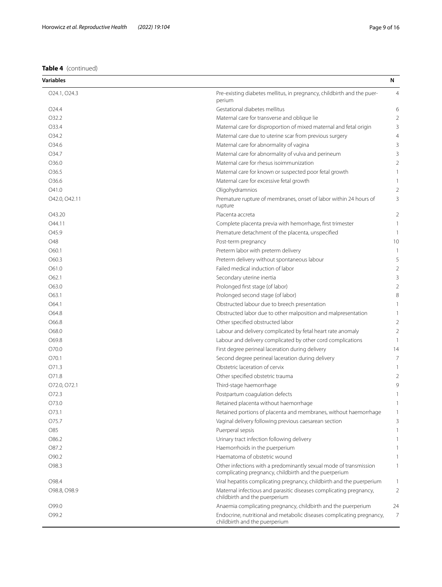| <b>Variables</b>  |                                                                                                                            | N              |
|-------------------|----------------------------------------------------------------------------------------------------------------------------|----------------|
| O24.1, O24.3      | Pre-existing diabetes mellitus, in pregnancy, childbirth and the puer-<br>perium                                           | $\overline{4}$ |
| O <sub>24.4</sub> | Gestational diabetes mellitus                                                                                              | 6              |
| O32.2             | Maternal care for transverse and oblique lie                                                                               | 2              |
| O33.4             | Maternal care for disproportion of mixed maternal and fetal origin                                                         | 3              |
| O34.2             | Maternal care due to uterine scar from previous surgery                                                                    | $\overline{4}$ |
| O34.6             | Maternal care for abnormality of vagina                                                                                    | 3              |
| O34.7             | Maternal care for abnormality of vulva and perineum                                                                        | 3              |
| O36.0             | Maternal care for rhesus isoimmunization                                                                                   | 2              |
| O36.5             | Maternal care for known or suspected poor fetal growth                                                                     | 1              |
| O36.6             | Maternal care for excessive fetal growth                                                                                   | 1              |
| O41.0             | Oligohydramnios                                                                                                            | $\overline{2}$ |
| O42.0, O42.11     | Premature rupture of membranes, onset of labor within 24 hours of<br>rupture                                               | 3              |
| O43.20            | Placenta accreta                                                                                                           | 2              |
| O44.11            | Complete placenta previa with hemorrhage, first trimester                                                                  | 1              |
| O45.9             | Premature detachment of the placenta, unspecified                                                                          | 1              |
| O48               | Post-term pregnancy                                                                                                        | 10             |
| O60.1             | Preterm labor with preterm delivery                                                                                        | 1              |
| O60.3             | Preterm delivery without spontaneous labour                                                                                | 5              |
| O61.0             | Failed medical induction of labor                                                                                          | $\overline{2}$ |
| O62.1             | Secondary uterine inertia                                                                                                  | 3              |
| O63.0             | Prolonged first stage (of labor)                                                                                           | $\overline{2}$ |
| O63.1             | Prolonged second stage (of labor)                                                                                          | 8              |
| O64.1             | Obstructed labour due to breech presentation                                                                               | 1              |
| O64.8             | Obstructed labor due to other malposition and malpresentation                                                              | 1              |
| O66.8             | Other specified obstructed labor                                                                                           | $\overline{2}$ |
| O68.0             | Labour and delivery complicated by fetal heart rate anomaly                                                                | 2              |
| O69.8             | Labour and delivery complicated by other cord complications                                                                | 1              |
| O70.0             | First degree perineal laceration during delivery                                                                           | 14             |
| O70.1             | Second degree perineal laceration during delivery                                                                          | 7              |
| O71.3             | Obstetric laceration of cervix                                                                                             | 1              |
| O71.8             | Other specified obstetric trauma                                                                                           | 2              |
| O72.0, O72.1      | Third-stage haemorrhage                                                                                                    | 9              |
| O72.3             | Postpartum coagulation defects                                                                                             |                |
| O73.0             | Retained placenta without haemorrhage                                                                                      |                |
| O73.1             | Retained portions of placenta and membranes, without haemorrhage                                                           |                |
| O75.7             | Vaginal delivery following previous caesarean section                                                                      | 3              |
| O85               | Puerperal sepsis                                                                                                           | 1              |
| O86.2             | Urinary tract infection following delivery                                                                                 |                |
| O87.2             | Haemorrhoids in the puerperium                                                                                             |                |
| O90.2             | Haematoma of obstetric wound                                                                                               | 1              |
| O98.3             | Other infections with a predominantly sexual mode of transmission<br>complicating pregnancy, childbirth and the puerperium | 1              |
| O98.4             | Viral hepatitis complicating pregnancy, childbirth and the puerperium                                                      | 1              |
| O98.8, O98.9      | Maternal infectious and parasitic diseases complicating pregnancy,<br>childbirth and the puerperium                        | $\overline{2}$ |
| O99.0             | Anaemia complicating pregnancy, childbirth and the puerperium                                                              | 24             |
| O99.2             | Endocrine, nutritional and metabolic diseases complicating pregnancy,<br>childbirth and the puerperium                     | 7              |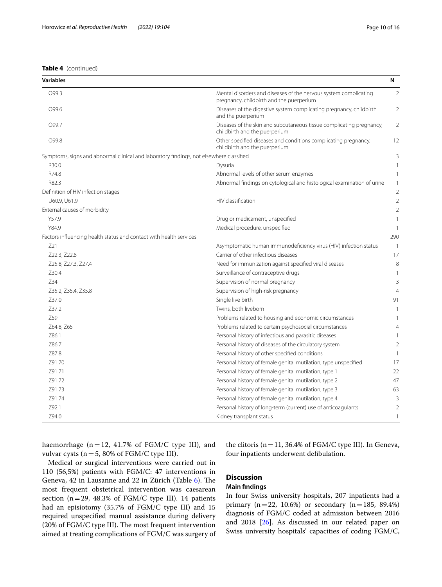| <b>Variables</b>                                                                        |                                                                                                              | N              |
|-----------------------------------------------------------------------------------------|--------------------------------------------------------------------------------------------------------------|----------------|
| O99.3                                                                                   | Mental disorders and diseases of the nervous system complicating<br>pregnancy, childbirth and the puerperium | $\overline{2}$ |
| O99.6                                                                                   | Diseases of the digestive system complicating pregnancy, childbirth<br>and the puerperium                    | 2              |
| O99.7                                                                                   | Diseases of the skin and subcutaneous tissue complicating pregnancy,<br>childbirth and the puerperium        | 2              |
| O99.8                                                                                   | Other specified diseases and conditions complicating pregnancy,<br>childbirth and the puerperium             | 12             |
| Symptoms, signs and abnormal clinical and laboratory findings, not elsewhere classified |                                                                                                              | 3              |
| R30.0                                                                                   | Dysuria                                                                                                      | 1              |
| R74.8                                                                                   | Abnormal levels of other serum enzymes                                                                       | 1              |
| R82.3                                                                                   | Abnormal findings on cytological and histological examination of urine                                       | 1              |
| Definition of HIV infection stages                                                      |                                                                                                              | $\overline{2}$ |
| U60.9, U61.9                                                                            | HIV classification                                                                                           | $\overline{2}$ |
| External causes of morbidity                                                            |                                                                                                              | $\overline{2}$ |
| Y57.9                                                                                   | Drug or medicament, unspecified                                                                              | 1              |
| Y84.9                                                                                   | Medical procedure, unspecified                                                                               | $\mathbf{1}$   |
| Factors influencing health status and contact with health services                      |                                                                                                              | 290            |
| Z21                                                                                     | Asymptomatic human immunodeficiency virus (HIV) infection status                                             | $\overline{1}$ |
| Z22.3, Z22.8                                                                            | Carrier of other infectious diseases                                                                         | 17             |
| Z25.8, Z27.3, Z27.4                                                                     | Need for immunization against specified viral diseases                                                       | 8              |
| Z30.4                                                                                   | Surveillance of contraceptive drugs                                                                          | 1              |
| Z34                                                                                     | Supervision of normal pregnancy                                                                              | 3              |
| Z35.2, Z35.4, Z35.8                                                                     | Supervision of high-risk pregnancy                                                                           | $\overline{4}$ |
| Z37.0                                                                                   | Single live birth                                                                                            | 91             |
| Z37.2                                                                                   | Twins, both liveborn                                                                                         | $\mathbf{1}$   |
| Z59                                                                                     | Problems related to housing and economic circumstances                                                       |                |
| Z64.8, Z65                                                                              | Problems related to certain psychosocial circumstances                                                       | 4              |
| Z86.1                                                                                   | Personal history of infectious and parasitic diseases                                                        | 1              |
| 786.7                                                                                   | Personal history of diseases of the circulatory system                                                       | $\overline{2}$ |
| Z87.8                                                                                   | Personal history of other specified conditions                                                               | 1              |
| Z91.70                                                                                  | Personal history of female genital mutilation, type unspecified                                              | 17             |
| Z91.71                                                                                  | Personal history of female genital mutilation, type 1                                                        | 22             |
| Z91.72                                                                                  | Personal history of female genital mutilation, type 2                                                        | 47             |
| Z91.73                                                                                  | Personal history of female genital mutilation, type 3                                                        | 63             |
| Z91.74                                                                                  | Personal history of female genital mutilation, type 4                                                        | 3              |
| Z92.1                                                                                   | Personal history of long-term (current) use of anticoagulants                                                | $\overline{2}$ |
| Z94.0                                                                                   | Kidney transplant status                                                                                     | 1              |

haemorrhage ( $n=12$ , 41.7% of FGM/C type III), and vulvar cysts ( $n=5$ , 80% of FGM/C type III).

the clitoris (n=11, 36.4% of FGM/C type III). In Geneva, four inpatients underwent defbulation.

Medical or surgical interventions were carried out in 110 (56,5%) patients with FGM/C: 47 interventions in Geneva, 42 in Lausanne and 22 in Zürich (Table [6\)](#page-11-0). The most frequent obstetrical intervention was caesarean section (n=29, 48.3% of FGM/C type III). 14 patients had an episiotomy (35.7% of FGM/C type III) and 15 required unspecifed manual assistance during delivery (20% of FGM/C type III). The most frequent intervention aimed at treating complications of FGM/C was surgery of

# **Discussion**

# **Main fndings**

In four Swiss university hospitals, 207 inpatients had a primary  $(n=22, 10.6%)$  or secondary  $(n=185, 89.4%)$ diagnosis of FGM/C coded at admission between 2016 and 2018 [\[26\]](#page-14-16). As discussed in our related paper on Swiss university hospitals' capacities of coding FGM/C,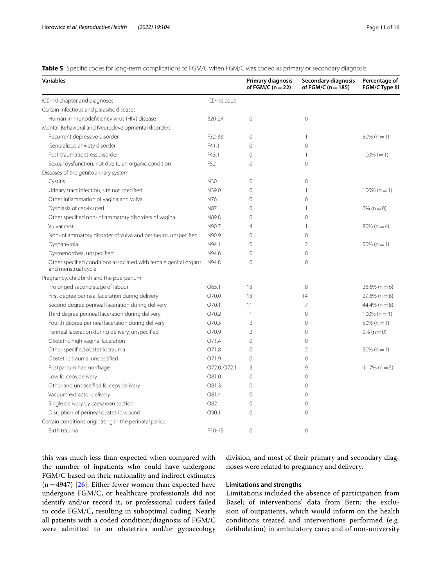<span id="page-10-0"></span>**Table 5** Specifc codes for long-term complications to FGM/C when FGM/C was coded as primary or secondary diagnosis

| ICD-10 chapter and diagnoses<br>ICD-10 code<br>Certain infectious and parasitic diseases<br>Human immunodeficiency virus (HIV) disease<br>$\overline{0}$<br>B20-24<br>$\mathbf{0}$<br>Mental, Behavioral and Neurodevelopmental disorders<br>Recurrent depressive disorder<br>F32-33<br>0<br>$\overline{1}$<br>$50\% (n = 1)$<br>$\Omega$<br>Generalized anxiety disorder<br>F41.1<br>$\Omega$<br>Post-traumatic stress disorder<br>F43.1<br>$100\% (= 1)$<br>0<br>$\mathbf{1}$<br>$\Omega$<br>Sexual dysfunction, not due to an organic condition<br>F <sub>52</sub><br>0<br>Diseases of the genitourinary system<br>$\overline{0}$<br>Cystitis<br>N30<br>0<br>Urinary tract infection, site not specified<br>N39.0<br>0<br>$\mathbf{1}$<br>$100\% (n = 1)$<br>Other inflammation of vagina and vulva<br>N76<br>0<br>$\overline{0}$<br>Dysplasia of cervix uteri<br><b>N87</b><br>0<br>$\mathbf{1}$<br>$0\%$ (n = 0)<br>Other specified non-inflammatory disorders of vagina<br>N89.8<br>$\overline{0}$<br>0<br>N90.7<br>$\overline{4}$<br>$80\%$ (n = 4)<br>Vulvar cyst<br>$\overline{1}$<br>Non-inflammatory disorder of vulva and perineum, unspecified<br>N90.9<br>$\overline{0}$<br>$\Omega$<br>Dyspareunia<br>N94.1<br>$\overline{2}$<br>$50\% (n = 1)$<br>0<br>Dysmenorrhea, unspecified<br>N94.6<br>0<br>$\mathbf{0}$<br>$\overline{0}$<br>Other specified conditions associated with female genital organs<br>N94.8<br>0<br>and menstrual cycle<br>Pregnancy, childbirth and the puerperium<br>Prolonged second stage of labour<br>13<br>8<br>O63.1<br>$28.6\%$ (n = 6)<br>First degree perineal laceration during delivery<br>O70.0<br>13<br>14<br>$29.6\%$ (n = 8)<br>Second degree perineal laceration during delivery<br>O70.1<br>11<br>$\overline{7}$<br>$44.4\%$ (n = 8)<br>Third degree perineal laceration during delivery<br>O70.2<br>$\overline{1}$<br>$\overline{0}$<br>$100\% (n=1)$<br>Fourth degree perineal laceration during delivery<br>O70.3<br>$\overline{2}$<br>$\overline{0}$<br>$50\% (n = 1)$<br>Perineal laceration during delivery, unspecified<br>O70.9<br>$\overline{2}$<br>$\Omega$<br>$0\%$ (n = 0)<br>0<br>Obstetric high vaginal laceration<br>O71.4<br>$\circ$<br>$\overline{2}$<br>Other specified obstetric trauma<br>O71.8<br>0<br>$50\% (n = 1)$<br>Obstetric trauma, unspecified<br>O71.9<br>0<br>$\overline{0}$<br>$\circ$<br>Postpartum haemorrhage<br>072.0, 072.1<br>3<br>$41.7\%$ (n = 5)<br>Low forceps delivery<br>O81.0<br>0<br>$\Omega$<br>Other and unspecified forceps delivery<br>O81.3<br>0<br>$\Omega$<br>Vacuum extractor delivery<br>O81.4<br>0<br>$\overline{0}$<br>Single delivery by caesarean section<br>O82<br>0<br>$\Omega$<br>O90.1<br>0<br>$\overline{0}$<br>Disruption of perineal obstetric wound<br>Certain conditions originating in the perinatal period<br>$\Omega$<br>P10-15<br>$\Omega$<br>Birth trauma | <b>Variables</b> | Primary diagnosis<br>of FGM/C ( $n = 22$ ) | Secondary diagnosis<br>of FGM/C ( $n = 185$ ) | Percentage of<br>FGM/C Type III |
|----------------------------------------------------------------------------------------------------------------------------------------------------------------------------------------------------------------------------------------------------------------------------------------------------------------------------------------------------------------------------------------------------------------------------------------------------------------------------------------------------------------------------------------------------------------------------------------------------------------------------------------------------------------------------------------------------------------------------------------------------------------------------------------------------------------------------------------------------------------------------------------------------------------------------------------------------------------------------------------------------------------------------------------------------------------------------------------------------------------------------------------------------------------------------------------------------------------------------------------------------------------------------------------------------------------------------------------------------------------------------------------------------------------------------------------------------------------------------------------------------------------------------------------------------------------------------------------------------------------------------------------------------------------------------------------------------------------------------------------------------------------------------------------------------------------------------------------------------------------------------------------------------------------------------------------------------------------------------------------------------------------------------------------------------------------------------------------------------------------------------------------------------------------------------------------------------------------------------------------------------------------------------------------------------------------------------------------------------------------------------------------------------------------------------------------------------------------------------------------------------------------------------------------------------------------------------------------------------------------------------------------------------------------------------------------------------------------------------------------------------------------------------------------------------------------------------------------------------------------------------------------|------------------|--------------------------------------------|-----------------------------------------------|---------------------------------|
|                                                                                                                                                                                                                                                                                                                                                                                                                                                                                                                                                                                                                                                                                                                                                                                                                                                                                                                                                                                                                                                                                                                                                                                                                                                                                                                                                                                                                                                                                                                                                                                                                                                                                                                                                                                                                                                                                                                                                                                                                                                                                                                                                                                                                                                                                                                                                                                                                                                                                                                                                                                                                                                                                                                                                                                                                                                                                        |                  |                                            |                                               |                                 |
|                                                                                                                                                                                                                                                                                                                                                                                                                                                                                                                                                                                                                                                                                                                                                                                                                                                                                                                                                                                                                                                                                                                                                                                                                                                                                                                                                                                                                                                                                                                                                                                                                                                                                                                                                                                                                                                                                                                                                                                                                                                                                                                                                                                                                                                                                                                                                                                                                                                                                                                                                                                                                                                                                                                                                                                                                                                                                        |                  |                                            |                                               |                                 |
|                                                                                                                                                                                                                                                                                                                                                                                                                                                                                                                                                                                                                                                                                                                                                                                                                                                                                                                                                                                                                                                                                                                                                                                                                                                                                                                                                                                                                                                                                                                                                                                                                                                                                                                                                                                                                                                                                                                                                                                                                                                                                                                                                                                                                                                                                                                                                                                                                                                                                                                                                                                                                                                                                                                                                                                                                                                                                        |                  |                                            |                                               |                                 |
|                                                                                                                                                                                                                                                                                                                                                                                                                                                                                                                                                                                                                                                                                                                                                                                                                                                                                                                                                                                                                                                                                                                                                                                                                                                                                                                                                                                                                                                                                                                                                                                                                                                                                                                                                                                                                                                                                                                                                                                                                                                                                                                                                                                                                                                                                                                                                                                                                                                                                                                                                                                                                                                                                                                                                                                                                                                                                        |                  |                                            |                                               |                                 |
|                                                                                                                                                                                                                                                                                                                                                                                                                                                                                                                                                                                                                                                                                                                                                                                                                                                                                                                                                                                                                                                                                                                                                                                                                                                                                                                                                                                                                                                                                                                                                                                                                                                                                                                                                                                                                                                                                                                                                                                                                                                                                                                                                                                                                                                                                                                                                                                                                                                                                                                                                                                                                                                                                                                                                                                                                                                                                        |                  |                                            |                                               |                                 |
|                                                                                                                                                                                                                                                                                                                                                                                                                                                                                                                                                                                                                                                                                                                                                                                                                                                                                                                                                                                                                                                                                                                                                                                                                                                                                                                                                                                                                                                                                                                                                                                                                                                                                                                                                                                                                                                                                                                                                                                                                                                                                                                                                                                                                                                                                                                                                                                                                                                                                                                                                                                                                                                                                                                                                                                                                                                                                        |                  |                                            |                                               |                                 |
|                                                                                                                                                                                                                                                                                                                                                                                                                                                                                                                                                                                                                                                                                                                                                                                                                                                                                                                                                                                                                                                                                                                                                                                                                                                                                                                                                                                                                                                                                                                                                                                                                                                                                                                                                                                                                                                                                                                                                                                                                                                                                                                                                                                                                                                                                                                                                                                                                                                                                                                                                                                                                                                                                                                                                                                                                                                                                        |                  |                                            |                                               |                                 |
|                                                                                                                                                                                                                                                                                                                                                                                                                                                                                                                                                                                                                                                                                                                                                                                                                                                                                                                                                                                                                                                                                                                                                                                                                                                                                                                                                                                                                                                                                                                                                                                                                                                                                                                                                                                                                                                                                                                                                                                                                                                                                                                                                                                                                                                                                                                                                                                                                                                                                                                                                                                                                                                                                                                                                                                                                                                                                        |                  |                                            |                                               |                                 |
|                                                                                                                                                                                                                                                                                                                                                                                                                                                                                                                                                                                                                                                                                                                                                                                                                                                                                                                                                                                                                                                                                                                                                                                                                                                                                                                                                                                                                                                                                                                                                                                                                                                                                                                                                                                                                                                                                                                                                                                                                                                                                                                                                                                                                                                                                                                                                                                                                                                                                                                                                                                                                                                                                                                                                                                                                                                                                        |                  |                                            |                                               |                                 |
|                                                                                                                                                                                                                                                                                                                                                                                                                                                                                                                                                                                                                                                                                                                                                                                                                                                                                                                                                                                                                                                                                                                                                                                                                                                                                                                                                                                                                                                                                                                                                                                                                                                                                                                                                                                                                                                                                                                                                                                                                                                                                                                                                                                                                                                                                                                                                                                                                                                                                                                                                                                                                                                                                                                                                                                                                                                                                        |                  |                                            |                                               |                                 |
|                                                                                                                                                                                                                                                                                                                                                                                                                                                                                                                                                                                                                                                                                                                                                                                                                                                                                                                                                                                                                                                                                                                                                                                                                                                                                                                                                                                                                                                                                                                                                                                                                                                                                                                                                                                                                                                                                                                                                                                                                                                                                                                                                                                                                                                                                                                                                                                                                                                                                                                                                                                                                                                                                                                                                                                                                                                                                        |                  |                                            |                                               |                                 |
|                                                                                                                                                                                                                                                                                                                                                                                                                                                                                                                                                                                                                                                                                                                                                                                                                                                                                                                                                                                                                                                                                                                                                                                                                                                                                                                                                                                                                                                                                                                                                                                                                                                                                                                                                                                                                                                                                                                                                                                                                                                                                                                                                                                                                                                                                                                                                                                                                                                                                                                                                                                                                                                                                                                                                                                                                                                                                        |                  |                                            |                                               |                                 |
|                                                                                                                                                                                                                                                                                                                                                                                                                                                                                                                                                                                                                                                                                                                                                                                                                                                                                                                                                                                                                                                                                                                                                                                                                                                                                                                                                                                                                                                                                                                                                                                                                                                                                                                                                                                                                                                                                                                                                                                                                                                                                                                                                                                                                                                                                                                                                                                                                                                                                                                                                                                                                                                                                                                                                                                                                                                                                        |                  |                                            |                                               |                                 |
|                                                                                                                                                                                                                                                                                                                                                                                                                                                                                                                                                                                                                                                                                                                                                                                                                                                                                                                                                                                                                                                                                                                                                                                                                                                                                                                                                                                                                                                                                                                                                                                                                                                                                                                                                                                                                                                                                                                                                                                                                                                                                                                                                                                                                                                                                                                                                                                                                                                                                                                                                                                                                                                                                                                                                                                                                                                                                        |                  |                                            |                                               |                                 |
|                                                                                                                                                                                                                                                                                                                                                                                                                                                                                                                                                                                                                                                                                                                                                                                                                                                                                                                                                                                                                                                                                                                                                                                                                                                                                                                                                                                                                                                                                                                                                                                                                                                                                                                                                                                                                                                                                                                                                                                                                                                                                                                                                                                                                                                                                                                                                                                                                                                                                                                                                                                                                                                                                                                                                                                                                                                                                        |                  |                                            |                                               |                                 |
|                                                                                                                                                                                                                                                                                                                                                                                                                                                                                                                                                                                                                                                                                                                                                                                                                                                                                                                                                                                                                                                                                                                                                                                                                                                                                                                                                                                                                                                                                                                                                                                                                                                                                                                                                                                                                                                                                                                                                                                                                                                                                                                                                                                                                                                                                                                                                                                                                                                                                                                                                                                                                                                                                                                                                                                                                                                                                        |                  |                                            |                                               |                                 |
|                                                                                                                                                                                                                                                                                                                                                                                                                                                                                                                                                                                                                                                                                                                                                                                                                                                                                                                                                                                                                                                                                                                                                                                                                                                                                                                                                                                                                                                                                                                                                                                                                                                                                                                                                                                                                                                                                                                                                                                                                                                                                                                                                                                                                                                                                                                                                                                                                                                                                                                                                                                                                                                                                                                                                                                                                                                                                        |                  |                                            |                                               |                                 |
|                                                                                                                                                                                                                                                                                                                                                                                                                                                                                                                                                                                                                                                                                                                                                                                                                                                                                                                                                                                                                                                                                                                                                                                                                                                                                                                                                                                                                                                                                                                                                                                                                                                                                                                                                                                                                                                                                                                                                                                                                                                                                                                                                                                                                                                                                                                                                                                                                                                                                                                                                                                                                                                                                                                                                                                                                                                                                        |                  |                                            |                                               |                                 |
|                                                                                                                                                                                                                                                                                                                                                                                                                                                                                                                                                                                                                                                                                                                                                                                                                                                                                                                                                                                                                                                                                                                                                                                                                                                                                                                                                                                                                                                                                                                                                                                                                                                                                                                                                                                                                                                                                                                                                                                                                                                                                                                                                                                                                                                                                                                                                                                                                                                                                                                                                                                                                                                                                                                                                                                                                                                                                        |                  |                                            |                                               |                                 |
|                                                                                                                                                                                                                                                                                                                                                                                                                                                                                                                                                                                                                                                                                                                                                                                                                                                                                                                                                                                                                                                                                                                                                                                                                                                                                                                                                                                                                                                                                                                                                                                                                                                                                                                                                                                                                                                                                                                                                                                                                                                                                                                                                                                                                                                                                                                                                                                                                                                                                                                                                                                                                                                                                                                                                                                                                                                                                        |                  |                                            |                                               |                                 |
|                                                                                                                                                                                                                                                                                                                                                                                                                                                                                                                                                                                                                                                                                                                                                                                                                                                                                                                                                                                                                                                                                                                                                                                                                                                                                                                                                                                                                                                                                                                                                                                                                                                                                                                                                                                                                                                                                                                                                                                                                                                                                                                                                                                                                                                                                                                                                                                                                                                                                                                                                                                                                                                                                                                                                                                                                                                                                        |                  |                                            |                                               |                                 |
|                                                                                                                                                                                                                                                                                                                                                                                                                                                                                                                                                                                                                                                                                                                                                                                                                                                                                                                                                                                                                                                                                                                                                                                                                                                                                                                                                                                                                                                                                                                                                                                                                                                                                                                                                                                                                                                                                                                                                                                                                                                                                                                                                                                                                                                                                                                                                                                                                                                                                                                                                                                                                                                                                                                                                                                                                                                                                        |                  |                                            |                                               |                                 |
|                                                                                                                                                                                                                                                                                                                                                                                                                                                                                                                                                                                                                                                                                                                                                                                                                                                                                                                                                                                                                                                                                                                                                                                                                                                                                                                                                                                                                                                                                                                                                                                                                                                                                                                                                                                                                                                                                                                                                                                                                                                                                                                                                                                                                                                                                                                                                                                                                                                                                                                                                                                                                                                                                                                                                                                                                                                                                        |                  |                                            |                                               |                                 |
|                                                                                                                                                                                                                                                                                                                                                                                                                                                                                                                                                                                                                                                                                                                                                                                                                                                                                                                                                                                                                                                                                                                                                                                                                                                                                                                                                                                                                                                                                                                                                                                                                                                                                                                                                                                                                                                                                                                                                                                                                                                                                                                                                                                                                                                                                                                                                                                                                                                                                                                                                                                                                                                                                                                                                                                                                                                                                        |                  |                                            |                                               |                                 |
|                                                                                                                                                                                                                                                                                                                                                                                                                                                                                                                                                                                                                                                                                                                                                                                                                                                                                                                                                                                                                                                                                                                                                                                                                                                                                                                                                                                                                                                                                                                                                                                                                                                                                                                                                                                                                                                                                                                                                                                                                                                                                                                                                                                                                                                                                                                                                                                                                                                                                                                                                                                                                                                                                                                                                                                                                                                                                        |                  |                                            |                                               |                                 |
|                                                                                                                                                                                                                                                                                                                                                                                                                                                                                                                                                                                                                                                                                                                                                                                                                                                                                                                                                                                                                                                                                                                                                                                                                                                                                                                                                                                                                                                                                                                                                                                                                                                                                                                                                                                                                                                                                                                                                                                                                                                                                                                                                                                                                                                                                                                                                                                                                                                                                                                                                                                                                                                                                                                                                                                                                                                                                        |                  |                                            |                                               |                                 |
|                                                                                                                                                                                                                                                                                                                                                                                                                                                                                                                                                                                                                                                                                                                                                                                                                                                                                                                                                                                                                                                                                                                                                                                                                                                                                                                                                                                                                                                                                                                                                                                                                                                                                                                                                                                                                                                                                                                                                                                                                                                                                                                                                                                                                                                                                                                                                                                                                                                                                                                                                                                                                                                                                                                                                                                                                                                                                        |                  |                                            |                                               |                                 |
|                                                                                                                                                                                                                                                                                                                                                                                                                                                                                                                                                                                                                                                                                                                                                                                                                                                                                                                                                                                                                                                                                                                                                                                                                                                                                                                                                                                                                                                                                                                                                                                                                                                                                                                                                                                                                                                                                                                                                                                                                                                                                                                                                                                                                                                                                                                                                                                                                                                                                                                                                                                                                                                                                                                                                                                                                                                                                        |                  |                                            |                                               |                                 |
|                                                                                                                                                                                                                                                                                                                                                                                                                                                                                                                                                                                                                                                                                                                                                                                                                                                                                                                                                                                                                                                                                                                                                                                                                                                                                                                                                                                                                                                                                                                                                                                                                                                                                                                                                                                                                                                                                                                                                                                                                                                                                                                                                                                                                                                                                                                                                                                                                                                                                                                                                                                                                                                                                                                                                                                                                                                                                        |                  |                                            |                                               |                                 |
|                                                                                                                                                                                                                                                                                                                                                                                                                                                                                                                                                                                                                                                                                                                                                                                                                                                                                                                                                                                                                                                                                                                                                                                                                                                                                                                                                                                                                                                                                                                                                                                                                                                                                                                                                                                                                                                                                                                                                                                                                                                                                                                                                                                                                                                                                                                                                                                                                                                                                                                                                                                                                                                                                                                                                                                                                                                                                        |                  |                                            |                                               |                                 |
|                                                                                                                                                                                                                                                                                                                                                                                                                                                                                                                                                                                                                                                                                                                                                                                                                                                                                                                                                                                                                                                                                                                                                                                                                                                                                                                                                                                                                                                                                                                                                                                                                                                                                                                                                                                                                                                                                                                                                                                                                                                                                                                                                                                                                                                                                                                                                                                                                                                                                                                                                                                                                                                                                                                                                                                                                                                                                        |                  |                                            |                                               |                                 |
|                                                                                                                                                                                                                                                                                                                                                                                                                                                                                                                                                                                                                                                                                                                                                                                                                                                                                                                                                                                                                                                                                                                                                                                                                                                                                                                                                                                                                                                                                                                                                                                                                                                                                                                                                                                                                                                                                                                                                                                                                                                                                                                                                                                                                                                                                                                                                                                                                                                                                                                                                                                                                                                                                                                                                                                                                                                                                        |                  |                                            |                                               |                                 |
|                                                                                                                                                                                                                                                                                                                                                                                                                                                                                                                                                                                                                                                                                                                                                                                                                                                                                                                                                                                                                                                                                                                                                                                                                                                                                                                                                                                                                                                                                                                                                                                                                                                                                                                                                                                                                                                                                                                                                                                                                                                                                                                                                                                                                                                                                                                                                                                                                                                                                                                                                                                                                                                                                                                                                                                                                                                                                        |                  |                                            |                                               |                                 |
|                                                                                                                                                                                                                                                                                                                                                                                                                                                                                                                                                                                                                                                                                                                                                                                                                                                                                                                                                                                                                                                                                                                                                                                                                                                                                                                                                                                                                                                                                                                                                                                                                                                                                                                                                                                                                                                                                                                                                                                                                                                                                                                                                                                                                                                                                                                                                                                                                                                                                                                                                                                                                                                                                                                                                                                                                                                                                        |                  |                                            |                                               |                                 |
|                                                                                                                                                                                                                                                                                                                                                                                                                                                                                                                                                                                                                                                                                                                                                                                                                                                                                                                                                                                                                                                                                                                                                                                                                                                                                                                                                                                                                                                                                                                                                                                                                                                                                                                                                                                                                                                                                                                                                                                                                                                                                                                                                                                                                                                                                                                                                                                                                                                                                                                                                                                                                                                                                                                                                                                                                                                                                        |                  |                                            |                                               |                                 |
|                                                                                                                                                                                                                                                                                                                                                                                                                                                                                                                                                                                                                                                                                                                                                                                                                                                                                                                                                                                                                                                                                                                                                                                                                                                                                                                                                                                                                                                                                                                                                                                                                                                                                                                                                                                                                                                                                                                                                                                                                                                                                                                                                                                                                                                                                                                                                                                                                                                                                                                                                                                                                                                                                                                                                                                                                                                                                        |                  |                                            |                                               |                                 |
|                                                                                                                                                                                                                                                                                                                                                                                                                                                                                                                                                                                                                                                                                                                                                                                                                                                                                                                                                                                                                                                                                                                                                                                                                                                                                                                                                                                                                                                                                                                                                                                                                                                                                                                                                                                                                                                                                                                                                                                                                                                                                                                                                                                                                                                                                                                                                                                                                                                                                                                                                                                                                                                                                                                                                                                                                                                                                        |                  |                                            |                                               |                                 |

this was much less than expected when compared with the number of inpatients who could have undergone FGM/C based on their nationality and indirect estimates  $(n=4947)$  [[26](#page-14-16)]. Either fewer women than expected have undergone FGM/C, or healthcare professionals did not identify and/or record it, or professional coders failed to code FGM/C, resulting in suboptimal coding. Nearly all patients with a coded condition/diagnosis of FGM/C were admitted to an obstetrics and/or gynaecology division, and most of their primary and secondary diagnoses were related to pregnancy and delivery.

# **Limitations and strengths**

Limitations included the absence of participation from Basel; of interventions' data from Bern; the exclusion of outpatients, which would inform on the health conditions treated and interventions performed (e.g. defbulation) in ambulatory care; and of non-university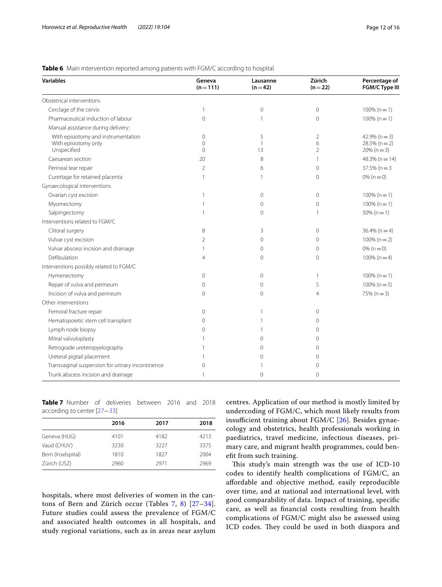| <b>Variables</b>                                                           | Geneva<br>$(n = 111)$               | Lausanne<br>$(n=42)$    | Zürich<br>$(n=22)$                    | Percentage of<br>FGM/C Type III                      |
|----------------------------------------------------------------------------|-------------------------------------|-------------------------|---------------------------------------|------------------------------------------------------|
| Obstetrical interventions                                                  |                                     |                         |                                       |                                                      |
| Cerclage of the cervix                                                     | 1                                   | 0                       | $\mathbf{0}$                          | $100\% (n=1)$                                        |
| Pharmaceutical induction of labour                                         | 0                                   | 1                       | $\mathbf{0}$                          | $100\% (n=1)$                                        |
| Manual assistance during delivery:                                         |                                     |                         |                                       |                                                      |
| With episiotomy and instrumentation<br>With episiotomy only<br>Unspecified | $\mathbf 0$<br>$\Omega$<br>$\Omega$ | 5<br>$\mathbf{1}$<br>13 | $\overline{2}$<br>6<br>$\overline{2}$ | $42.9\%$ (n = 3)<br>$28.5\%$ (n = 2)<br>$20\% (n=3)$ |
| Caesarean section                                                          | 20                                  | 8                       | $\mathbf{1}$                          | $48.3\%$ (n = 14)                                    |
| Perineal tear repair                                                       | $\overline{2}$                      | 6                       | $\mathbf{0}$                          | $37.5\%$ (n = 3                                      |
| Curettage for retained placenta                                            |                                     | 1                       | $\mathbf 0$                           | $0\%$ (n = 0)                                        |
| Gynaecological interventions                                               |                                     |                         |                                       |                                                      |
| Ovarian cyst excision                                                      | 1                                   | 0                       | $\mathbf{0}$                          | $100\% (n = 1)$                                      |
| Myomectomy                                                                 | $\mathbf{1}$                        | 0                       | $\Omega$                              | $100\% (n = 1)$                                      |
| Salpingectomy                                                              | 1                                   | $\Omega$                | 1                                     | $50\%$ (n = 1)                                       |
| Interventions related to FGM/C                                             |                                     |                         |                                       |                                                      |
| Clitoral surgery                                                           | 8                                   | 3                       | $\mathbf{0}$                          | $36.4\%$ (n = 4)                                     |
| Vulvar cyst excision                                                       | 2                                   | 0                       | $\Omega$                              | $100\% (n=2)$                                        |
| Vulvar abscess incision and drainage                                       | 1                                   | 0                       | $\Omega$                              | $0\%$ (n = 0)                                        |
| Defibulation                                                               | 4                                   | 0                       | $\Omega$                              | $100\% (n=4)$                                        |
| Interventions possibly related to FGM/C                                    |                                     |                         |                                       |                                                      |
| Hymenectomy                                                                | 0                                   | 0                       | $\mathbf{1}$                          | $100\% (n = 1)$                                      |
| Repair of vulva and perineum                                               | 0                                   | 0                       | 5                                     | $100\% (n=5)$                                        |
| Incision of vulva and perineum                                             | $\Omega$                            | $\Omega$                | $\overline{4}$                        | $75\%$ (n = 3)                                       |
| Other interventions                                                        |                                     |                         |                                       |                                                      |
| Femoral fracture repair                                                    | 0                                   | 1                       | $\Omega$                              |                                                      |
| Hematopoietic stem cell transplant                                         | $\Omega$                            | 1                       | $\Omega$                              |                                                      |
| Lymph node biopsy                                                          | $\Omega$                            |                         | $\Omega$                              |                                                      |
| Mitral valvuloplasty                                                       |                                     | 0                       | $\Omega$                              |                                                      |
| Retrograde ureteropyelography                                              |                                     | 0                       | $\Omega$                              |                                                      |
| Ureteral pigtail placement                                                 |                                     | 0                       | $\Omega$                              |                                                      |
| Transvaginal suspension for urinary incontinence                           | 0                                   | 1                       | 0                                     |                                                      |
| Trunk abscess incision and drainage                                        | 1                                   | 0                       | $\mathbf 0$                           |                                                      |

# <span id="page-11-0"></span>**Table 6** Main intervention reported among patients with FGM/C according to hospital

<span id="page-11-1"></span>**Table 7** Number of deliveries between 2016 and 2018 according to center [\[27](#page-14-17)−[33\]](#page-14-19)

|                    | 2016 | 2017 | 2018 |
|--------------------|------|------|------|
| Geneva (HUG)       | 4101 | 4182 | 4213 |
| Vaud (CHUV)        | 3230 | 3227 | 3375 |
| Bern (Inselspital) | 1810 | 1827 | 2004 |
| Zürich (USZ)       | 2960 | 2971 | 2969 |
|                    |      |      |      |

hospitals, where most deliveries of women in the can-tons of Bern and Zürich occur (Tables [7](#page-11-1), [8\)](#page-12-0) [27-[34\]](#page-14-18). Future studies could assess the prevalence of FGM/C and associated health outcomes in all hospitals, and study regional variations, such as in areas near asylum centres. Application of our method is mostly limited by undercoding of FGM/C, which most likely results from insufficient training about FGM/C  $[26]$  $[26]$  $[26]$ . Besides gynaecology and obstetrics, health professionals working in paediatrics, travel medicine, infectious diseases, primary care, and migrant health programmes, could beneft from such training.

This study's main strength was the use of ICD-10 codes to identify health complications of FGM/C, an afordable and objective method, easily reproducible over time, and at national and international level, with good comparability of data. Impact of training, specifc care, as well as fnancial costs resulting from health complications of FGM/C might also be assessed using ICD codes. They could be used in both diaspora and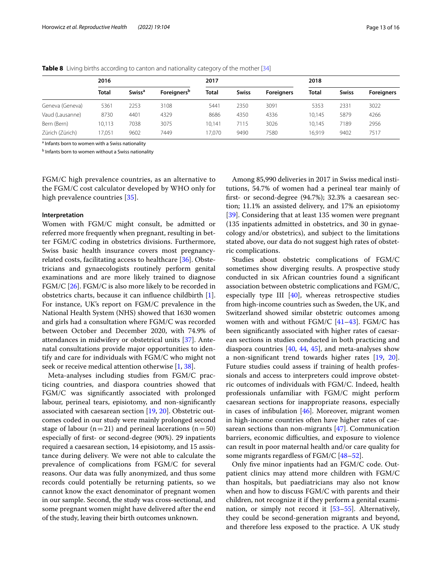|                 | 2016         |                          |                                | 2017         |              |                   | 2018         |              |                   |
|-----------------|--------------|--------------------------|--------------------------------|--------------|--------------|-------------------|--------------|--------------|-------------------|
|                 | <b>Total</b> | <b>Swiss<sup>a</sup></b> | <b>Foreigners</b> <sup>b</sup> | <b>Total</b> | <b>Swiss</b> | <b>Foreigners</b> | <b>Total</b> | <b>Swiss</b> | <b>Foreigners</b> |
| Geneva (Geneva) | 5361         | 2253                     | 3108                           | 5441         | 2350         | 3091              | 5353         | 2331         | 3022              |
| Vaud (Lausanne) | 8730         | 4401                     | 4329                           | 8686         | 4350         | 4336              | 10.145       | 5879         | 4266              |
| Bern (Bern)     | 10.113       | 7038                     | 3075                           | 10.141       | 7115         | 3026              | 10.145       | 7189         | 2956              |
| Zürich (Zürich) | 17.051       | 9602                     | 7449                           | 17.070       | 9490         | 7580              | 16.919       | 9402         | 7517              |

<span id="page-12-0"></span>**Table 8** Living births according to canton and nationality category of the mother [\[34\]](#page-14-18)

<sup>a</sup> Infants born to women with a Swiss nationality

<sup>b</sup> Infants born to women without a Swiss nationality

FGM/C high prevalence countries, as an alternative to the FGM/C cost calculator developed by WHO only for high prevalence countries [[35](#page-14-20)].

## **Interpretation**

Women with FGM/C might consult, be admitted or referred more frequently when pregnant, resulting in better FGM/C coding in obstetrics divisions. Furthermore, Swiss basic health insurance covers most pregnancyrelated costs, facilitating access to healthcare [[36\]](#page-14-21). Obstetricians and gynaecologists routinely perform genital examinations and are more likely trained to diagnose FGM/C [\[26\]](#page-14-16). FGM/C is also more likely to be recorded in obstetrics charts, because it can infuence childbirth [\[1](#page-13-0)]. For instance, UK's report on FGM/C prevalence in the National Health System (NHS) showed that 1630 women and girls had a consultation where FGM/C was recorded between October and December 2020, with 74.9% of attendances in midwifery or obstetrical units [[37\]](#page-14-22). Antenatal consultations provide major opportunities to identify and care for individuals with FGM/C who might not seek or receive medical attention otherwise [[1,](#page-13-0) [38\]](#page-14-23).

Meta-analyses including studies from FGM/C practicing countries, and diaspora countries showed that FGM/C was signifcantly associated with prolonged labour, perineal tears, episiotomy, and non-signifcantly associated with caesarean section [[19,](#page-14-24) [20](#page-14-11)]. Obstetric outcomes coded in our study were mainly prolonged second stage of labour ( $n=21$ ) and perineal lacerations ( $n=50$ ) especially of frst- or second-degree (90%). 29 inpatients required a caesarean section, 14 episiotomy, and 15 assistance during delivery. We were not able to calculate the prevalence of complications from FGM/C for several reasons. Our data was fully anonymized, and thus some records could potentially be returning patients, so we cannot know the exact denominator of pregnant women in our sample. Second, the study was cross-sectional, and some pregnant women might have delivered after the end of the study, leaving their birth outcomes unknown.

Among 85,990 deliveries in 2017 in Swiss medical institutions, 54.7% of women had a perineal tear mainly of frst- or second-degree (94.7%); 32.3% a caesarean section; 11.1% an assisted delivery, and 17% an episiotomy [[39\]](#page-14-25). Considering that at least 135 women were pregnant (135 inpatients admitted in obstetrics, and 30 in gynaecology and/or obstetrics), and subject to the limitations stated above, our data do not suggest high rates of obstetric complications.

Studies about obstetric complications of FGM/C sometimes show diverging results. A prospective study conducted in six African countries found a signifcant association between obstetric complications and FGM/C, especially type III  $[40]$  $[40]$  $[40]$ , whereas retrospective studies from high-income countries such as Sweden, the UK, and Switzerland showed similar obstetric outcomes among women with and without FGM/C [\[41](#page-14-27)[–43\]](#page-14-28). FGM/C has been signifcantly associated with higher rates of caesarean sections in studies conducted in both practicing and diaspora countries  $[40, 44, 45]$  $[40, 44, 45]$  $[40, 44, 45]$  $[40, 44, 45]$  $[40, 44, 45]$ , and meta-analyses show a non-signifcant trend towards higher rates [\[19,](#page-14-24) [20](#page-14-11)]. Future studies could assess if training of health professionals and access to interpreters could improve obstetric outcomes of individuals with FGM/C. Indeed, health professionals unfamiliar with FGM/C might perform caesarean sections for inappropriate reasons, especially in cases of infbulation [[46](#page-14-31)]. Moreover, migrant women in high-income countries often have higher rates of caesarean sections than non-migrants [\[47](#page-14-32)]. Communication barriers, economic difficulties, and exposure to violence can result in poor maternal health and/or care quality for some migrants regardless of FGM/C [[48](#page-14-33)[–52](#page-15-0)].

Only fve minor inpatients had an FGM/C code. Outpatient clinics may attend more children with FGM/C than hospitals, but paediatricians may also not know when and how to discuss FGM/C with parents and their children, not recognize it if they perform a genital examination, or simply not record it [\[53](#page-15-1)–[55\]](#page-15-2). Alternatively, they could be second-generation migrants and beyond, and therefore less exposed to the practice. A UK study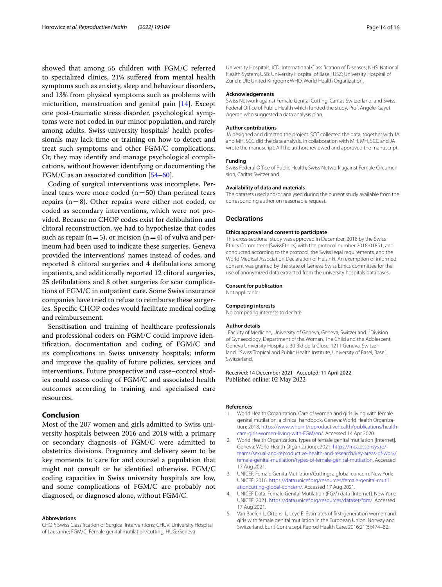showed that among 55 children with FGM/C referred to specialized clinics, 21% sufered from mental health symptoms such as anxiety, sleep and behaviour disorders, and 13% from physical symptoms such as problems with micturition, menstruation and genital pain [[14\]](#page-14-5). Except one post-traumatic stress disorder, psychological symptoms were not coded in our minor population, and rarely among adults. Swiss university hospitals' health professionals may lack time or training on how to detect and treat such symptoms and other FGM/C complications. Or, they may identify and manage psychological complications, without however identifying or documenting the FGM/C as an associated condition [\[54–](#page-15-3)[60\]](#page-15-4).

Coding of surgical interventions was incomplete. Perineal tears were more coded  $(n=50)$  than perineal tears repairs (n=8). Other repairs were either not coded, or coded as secondary interventions, which were not provided. Because no CHOP codes exist for defbulation and clitoral reconstruction, we had to hypothesize that codes such as repair ( $n=5$ ), or incision ( $n=4$ ) of vulva and perineum had been used to indicate these surgeries. Geneva provided the interventions' names instead of codes, and reported 8 clitoral surgeries and 4 defbulations among inpatients, and additionally reported 12 clitoral surgeries, 25 defbulations and 8 other surgeries for scar complications of FGM/C in outpatient care. Some Swiss insurance companies have tried to refuse to reimburse these surgeries. Specifc CHOP codes would facilitate medical coding and reimbursement.

Sensitisation and training of healthcare professionals and professional coders on FGM/C could improve identifcation, documentation and coding of FGM/C and its complications in Swiss university hospitals; inform and improve the quality of future policies, services and interventions. Future prospective and case–control studies could assess coding of FGM/C and associated health outcomes according to training and specialised care resources.

# **Conclusion**

Most of the 207 women and girls admitted to Swiss university hospitals between 2016 and 2018 with a primary or secondary diagnosis of FGM/C were admitted to obstetrics divisions. Pregnancy and delivery seem to be key moments to care for and counsel a population that might not consult or be identifed otherwise. FGM/C coding capacities in Swiss university hospitals are low, and some complications of FGM/C are probably not diagnosed, or diagnosed alone, without FGM/C.

#### **Abbreviations**

CHOP: Swiss Classifcation of Surgical Interventions; CHUV: University Hospital of Lausanne; FGM/C: Female genital mutilation/cutting; HUG: Geneva

University Hospitals; ICD: International Classifcation of Diseases; NHS: National Health System; USB: University Hospital of Basel; USZ: University Hospital of Zürich; UK: United Kingdom; WHO: World Health Organization.

#### **Acknowledgements**

Swiss Network against Female Genital Cutting, Caritas Switzerland, and Swiss Federal Office of Public Health which funded the study. Prof. Angèle-Gayet Ageron who suggested a data analysis plan.

#### **Author contributions**

JA designed and directed the project. SCC collected the data, together with JA and MH. SCC did the data analysis, in collaboration with MH. MH, SCC and JA wrote the manuscript. All the authors reviewed and approved the manuscript.

#### **Funding**

Swiss Federal Office of Public Health, Swiss Network against Female Circumcision, Caritas Switzerland.

#### **Availability of data and materials**

The datasets used and/or analysed during the current study available from the corresponding author on reasonable request.

## **Declarations**

# **Ethics approval and consent to participate**

This cross-sectional study was approved in December, 2018 by the Swiss Ethics Committees (SwissEthics) with the protocol number 2018-01851, and conducted according to the protocol, the Swiss legal requirements, and the World Medical Association Declaration of Helsinki. An exemption of informed consent was granted by the state of Geneva Swiss Ethics committee for the use of anonymized data extracted from the university hospitals databases.

#### **Consent for publication**

Not applicable.

#### **Competing interests**

No competing interests to declare.

#### **Author details**

<sup>1</sup> Faculty of Medicine, University of Geneva, Geneva, Switzerland. <sup>2</sup> Division of Gynaecology, Department of the Woman, The Child and the Adolescent, Geneva University Hospitals, 30 Bld de la Cluse, 1211 Geneva, Switzerland. <sup>3</sup> Swiss Tropical and Public Health Institute, University of Basel, Basel, Switzerland.

#### Received: 14 December 2021 Accepted: 11 April 2022 Published online: 02 May 2022

#### **References**

- <span id="page-13-0"></span>1. World Health Organization. Care of women and girls living with female genital mutilation: a clinical handbook. Geneva: World Health Organization; 2018. [https://www.who.int/reproductivehealth/publications/health](https://www.who.int/reproductivehealth/publications/health-care-girls-women-living-with-FGM/en/) [care-girls-women-living-with-FGM/en/](https://www.who.int/reproductivehealth/publications/health-care-girls-women-living-with-FGM/en/). Accessed 14 Apr 2020.
- <span id="page-13-1"></span>2. World Health Organization. Types of female genital mutilation [Internet]. Geneva: World Health Organization; c2021. [https://mca.essensys.ro/](https://mca.essensys.ro/teams/sexual-and-reproductive-health-and-research/key-areas-of-work/female-genital-mutilation/types-of-female-genital-mutilation) [teams/sexual-and-reproductive-health-and-research/key-areas-of-work/](https://mca.essensys.ro/teams/sexual-and-reproductive-health-and-research/key-areas-of-work/female-genital-mutilation/types-of-female-genital-mutilation) [female-genital-mutilation/types-of-female-genital-mutilation](https://mca.essensys.ro/teams/sexual-and-reproductive-health-and-research/key-areas-of-work/female-genital-mutilation/types-of-female-genital-mutilation). Accessed 17 Aug 2021.
- <span id="page-13-2"></span>3. UNICEF. Female Genita Mutilation/Cutting: a global concern. New York: UNICEF; 2016. [https://data.unicef.org/resources/female-genital-mutil](https://data.unicef.org/resources/female-genital-mutilationcutting-global-concern/) [ationcutting-global-concern/](https://data.unicef.org/resources/female-genital-mutilationcutting-global-concern/). Accessed 17 Aug 2021.
- <span id="page-13-3"></span>4. UNICEF Data. Female Genital Mutilation (FGM) data [Internet]. New York: UNICEF; 2021. [https://data.unicef.org/resources/dataset/fgm/.](https://data.unicef.org/resources/dataset/fgm/) Accessed 17 Aug 2021.
- <span id="page-13-4"></span>5. Van Baelen L, Ortensi L, Leye E. Estimates of frst-generation women and girls with female genital mutilation in the European Union, Norway and Switzerland. Eur J Contracept Reprod Health Care. 2016;21(6):474–82.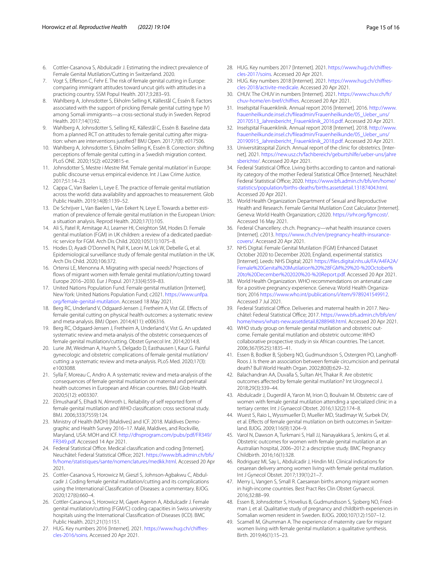- <span id="page-14-0"></span>6. Cottler-Casanova S, Abdulcadir J. Estimating the indirect prevalence of Female Genital Mutilation/Cutting in Switzerland. 2020.
- <span id="page-14-1"></span>7. Vogt S, Eferson C, Fehr E. The risk of female genital cutting in Europe: comparing immigrant attitudes toward uncut girls with attitudes in a practicing country. SSM Popul Health. 2017;3:283–93.
- 8. Wahlberg A, Johnsdotter S, Ekholm Selling K, Källestål C, Essén B. Factors associated with the support of pricking (female genital cutting type IV) among Somali immigrants—a cross-sectional study in Sweden. Reprod Health. 2017;14(1):92.
- 9. Wahlberg A, Johnsdotter S, Selling KE, Källestål C, Essén B. Baseline data from a planned RCT on attitudes to female genital cutting after migration: when are interventions justifed? BMJ Open. 2017;7(8): e017506.
- 10. Wahlberg A, Johnsdotter S, Ekholm Selling K, Essén B. Correction: shifting perceptions of female genital cutting in a Swedish migration context. PLoS ONE. 2020;15(2): e0229815-e.
- <span id="page-14-2"></span>11. Johnsdotter S, Mestre i Mestre RM. 'Female genital mutilation' in Europe: public discourse versus empirical evidence. Int J Law Crime Justice. 2017;51:14–23.
- <span id="page-14-3"></span>12. Cappa C, Van Baelen L, Leye E. The practice of female genital mutilation across the world: data availability and approaches to measurement. Glob Public Health. 2019;14(8):1139–52.
- <span id="page-14-4"></span>13. De Schrijver L, Van Baelen L, Van Eekert N, Leye E. Towards a better estimation of prevalence of female genital mutilation in the European Union: a situation analysis. Reprod Health. 2020;17(1):105.
- <span id="page-14-5"></span>14. Ali S, Patel R, Armitage AJ, Learner HI, Creighton SM, Hodes D. Female genital mutilation (FGM) in UK children: a review of a dedicated paediatric service for FGM. Arch Dis Child. 2020;105(11):1075–8.
- <span id="page-14-6"></span>15. Hodes D, Ayadi O'Donnell N, Pall K, Leoni M, Lok W, Debelle G, et al. Epidemiological surveillance study of female genital mutilation in the UK. Arch Dis Child. 2020;106:372.
- <span id="page-14-7"></span>16. Ortensi LE, Menonna A. Migrating with special needs? Projections of fows of migrant women with female genital mutilation/cutting toward Europe 2016–2030. Eur J Popul. 2017;33(4):559–83.
- <span id="page-14-8"></span>17. United Nations Population Fund. Female genital mutilation [Internet]. New York: United Nations Population Fund; c2021. [https://www.unfpa.](https://www.unfpa.org/female-genital-mutilation) [org/female-genital-mutilation](https://www.unfpa.org/female-genital-mutilation). Accessed 18 May 2021.
- <span id="page-14-9"></span>18. Berg RC, Underland V, Odgaard-Jensen J, Fretheim A, Vist GE. Efects of female genital cutting on physical health outcomes: a systematic review and meta-analysis. BMJ Open. 2014;4(11): e006316.
- <span id="page-14-24"></span>19. Berg RC, Odgaard-Jensen J, Fretheim A, Underland V, Vist G. An updated systematic review and meta-analysis of the obstetric consequences of female genital mutilation/cutting. Obstet Gynecol Int. 2014;2014:8.
- <span id="page-14-11"></span>20. Lurie JM, Weidman A, Huynh S, Delgado D, Easthausen I, Kaur G. Painful gynecologic and obstetric complications of female genital mutilation/ cutting: a systematic review and meta-analysis. PLoS Med. 2020;17(3): e1003088.
- <span id="page-14-10"></span>21. Sylla F, Moreau C, Andro A. A systematic review and meta-analysis of the consequences of female genital mutilation on maternal and perinatal health outcomes in European and African countries. BMJ Glob Health. 2020;5(12): e003307.
- <span id="page-14-12"></span>22. Elmusharaf S, Elhadi N, Almroth L. Reliability of self reported form of female genital mutilation and WHO classifcation: cross sectional study. BMJ. 2006;333(7559):124.
- <span id="page-14-13"></span>23. Ministry of Health (MOH) [Maldives] and ICF. 2018. Maldives Demographic and Health Survey 2016–17. Malé, Maldives, and Rockville, Maryland, USA: MOH and ICF. [http://dhsprogram.com/pubs/pdf/FR349/](http://dhsprogram.com/pubs/pdf/FR349/FR349.pdf) [FR349.pdf](http://dhsprogram.com/pubs/pdf/FR349/FR349.pdf). Accessed 14 Apr 2021.
- <span id="page-14-14"></span>24. Federal Statistical Office. Medical classification and coding [Internet]. Neuchâtel: Federal Statistical Office; 2021. [https://www.bfs.admin.ch/bfs/](https://www.bfs.admin.ch/bfs/fr/home/statistiques/sante/nomenclatures/medkk.html) [fr/home/statistiques/sante/nomenclatures/medkk.html](https://www.bfs.admin.ch/bfs/fr/home/statistiques/sante/nomenclatures/medkk.html). Accessed 20 Apr 2021.
- <span id="page-14-15"></span>25. Cottler-Casanova S, Horowicz M, Gieszl S, Johnson-Agbakwu C, Abdulcadir J. Coding female genital mutilation/cutting and its complications using the International Classifcation of Diseases: a commentary. BJOG. 2020;127(6):660–4.
- <span id="page-14-16"></span>26. Cottler-Casanova S, Horowicz M, Gayet-Ageron A, Abdulcadir J. Female genital mutilation/cutting (FGM/C) coding capacities in Swiss university hospitals using the International Classifcation of Diseases (ICD). BMC Public Health. 2021;21(1):1151.
- <span id="page-14-17"></span>27. HUG. Key numbers 2016 [Internet]. 2021. [https://www.hug.ch/chifres](https://www.hug.ch/chiffres-cles-2016/soins) [cles-2016/soins.](https://www.hug.ch/chiffres-cles-2016/soins) Accessed 20 Apr 2021.
- 28. HUG. Key numbers 2017 [Internet]. 2021. [https://www.hug.ch/chifres](https://www.hug.ch/chiffres-cles-2017/soins) [cles-2017/soins.](https://www.hug.ch/chiffres-cles-2017/soins) Accessed 20 Apr 2021.
- 29. HUG. Key numbers 2018 [Internet]. 2021. [https://www.hug.ch/chifres](https://www.hug.ch/chiffres-cles-2018/activite-medicale) [cles-2018/activite-medicale.](https://www.hug.ch/chiffres-cles-2018/activite-medicale) Accessed 20 Apr 2021.
- 30. CHUV. The CHUV in numbers [Internet]. 2021. [https://www.chuv.ch/fr/](https://www.chuv.ch/fr/chuv-home/en-bref/chiffres) [chuv-home/en-bref/chifres.](https://www.chuv.ch/fr/chuv-home/en-bref/chiffres) Accessed 20 Apr 2021.
- 31. Inselspital Frauenklinik. Annual report 2016 [Internet]. 2016. [http://www.](http://www.frauenheilkunde.insel.ch/fileadmin/Frauenheilkunde/05_Ueber_uns/20170513_Jahresbericht_Frauenklinik_2016.pdf) [frauenheilkunde.insel.ch/fleadmin/Frauenheilkunde/05\\_Ueber\\_uns/](http://www.frauenheilkunde.insel.ch/fileadmin/Frauenheilkunde/05_Ueber_uns/20170513_Jahresbericht_Frauenklinik_2016.pdf) [20170513\\_Jahresbericht\\_Frauenklinik\\_2016.pdf.](http://www.frauenheilkunde.insel.ch/fileadmin/Frauenheilkunde/05_Ueber_uns/20170513_Jahresbericht_Frauenklinik_2016.pdf) Accessed 20 Apr 2021.
- 32. Inselspital Frauenklinik. Annual report 2018 [Internet]. 2018. [http://www.](http://www.frauenheilkunde.insel.ch/fileadmin/Frauenheilkunde/05_Ueber_uns/20190915_Jahresbericht_Frauenklinik_2018.pdf) [frauenheilkunde.insel.ch/fleadmin/Frauenheilkunde/05\\_Ueber\\_uns/](http://www.frauenheilkunde.insel.ch/fileadmin/Frauenheilkunde/05_Ueber_uns/20190915_Jahresbericht_Frauenklinik_2018.pdf) [20190915\\_Jahresbericht\\_Frauenklinik\\_2018.pdf.](http://www.frauenheilkunde.insel.ch/fileadmin/Frauenheilkunde/05_Ueber_uns/20190915_Jahresbericht_Frauenklinik_2018.pdf) Accessed 20 Apr 2021.
- <span id="page-14-19"></span>33. Universitätsspital Zürich. Annual report of the clinic for obstetrics. [Internet]. 2021. [https://new.usz.ch/fachbereich/geburtshilfe/ueber-uns/jahre](https://new.usz.ch/fachbereich/geburtshilfe/ueber-uns/jahresberichte/) [sberichte/](https://new.usz.ch/fachbereich/geburtshilfe/ueber-uns/jahresberichte/). Accessed 20 Apr 2021.
- <span id="page-14-18"></span>34. Federal Statistical Office. Living births according to canton and nationality category of the mother Federal Statistical Office [Internet]. Neuchâtel: Federal Statistical Office; 2020. [https://www.bfs.admin.ch/bfs/en/home/](https://www.bfs.admin.ch/bfs/en/home/statistics/population/births-deaths/births.assetdetail.13187404.html) [statistics/population/births-deaths/births.assetdetail.13187404.html.](https://www.bfs.admin.ch/bfs/en/home/statistics/population/births-deaths/births.assetdetail.13187404.html) Accessed 20 Apr 2021.
- <span id="page-14-20"></span>35. World Health Organization Department of Sexual and Reproductive Health and Research. Female Genital Mutilation Cost Calculator [Internet]. Geneva: World Health Organization; c2020. [https://srhr.org/fgmcost/.](https://srhr.org/fgmcost/) Accessed 16 May 2021.
- <span id="page-14-21"></span>36. Federal Chancellery. ch.ch. Pregnancy—what health insurance covers [Internet]. c2013. [https://www.ch.ch/en/pregnancy-health-insurance](https://www.ch.ch/en/pregnancy-health-insurance-covers/) [covers/.](https://www.ch.ch/en/pregnancy-health-insurance-covers/) Accessed 20 Apr 2021.
- <span id="page-14-22"></span>37. NHS Digital. Female Genital Mutilation (FGM) Enhanced Dataset October 2020 to December 2020, England, experimental statistics [Internet]. Leeds: NHS Digital; 2021 [https://fles.digital.nhs.uk/FA/A4FA2A/](https://files.digital.nhs.uk/FA/A4FA2A/Female%20Genital%20Mutilation%20%28FGM%29%20-%20October%20to%20December%202020%20-%20Report.pdf) [Female%20Genital%20Mutilation%20%28FGM%29%20-%20October%](https://files.digital.nhs.uk/FA/A4FA2A/Female%20Genital%20Mutilation%20%28FGM%29%20-%20October%20to%20December%202020%20-%20Report.pdf) [20to%20December%202020%20-%20Report.pdf.](https://files.digital.nhs.uk/FA/A4FA2A/Female%20Genital%20Mutilation%20%28FGM%29%20-%20October%20to%20December%202020%20-%20Report.pdf) Accessed 20 Apr 2021.
- <span id="page-14-23"></span>38. World Health Organization. WHO recommendations on antenatal care for a positive pregnancy experience. Geneva: World Health Organization; 2016 <https://www.who.int/publications/i/item/9789241549912>. Accessed 7 Jul 2021.
- <span id="page-14-25"></span>39. Federal Statistical Office. Deliveries and maternal health in 2017. Neuchâtel: Federal Statistical Office; 2017. [https://www.bfs.admin.ch/bfs/en/](https://www.bfs.admin.ch/bfs/en/home/news/whats-new.assetdetail.8288948.html) [home/news/whats-new.assetdetail.8288948.html.](https://www.bfs.admin.ch/bfs/en/home/news/whats-new.assetdetail.8288948.html) Accessed 20 Apr 2021.
- <span id="page-14-26"></span>40. WHO study group on female genital mutilation and obstetric outcome. Female genital mutilation and obstetric outcome: WHO collaborative prospective study in six African countries. The Lancet. 2006;367(9525):1835–41.
- <span id="page-14-27"></span>41. Essen B, Bodker B, Sjoberg NO, Gudmundsson S, Ostergren PO, Langhof-Roos J. Is there an association between female circumcision and perinatal death? Bull World Health Organ. 2002;80(8):629–32.
- 42. Balachandran AA, Duvalla S, Sultan AH, Thakar R. Are obstetric outcomes afected by female genital mutilation? Int Urogynecol J. 2018;29(3):339–44.
- <span id="page-14-28"></span>43. Abdulcadir J, Dugerdil A, Yaron M, Irion O, Boulvain M. Obstetric care of women with female genital mutilation attending a specialized clinic in a tertiary center. Int J Gynaecol Obstet. 2016;132(2):174–8.
- <span id="page-14-29"></span>44. Wuest S, Raio L, Wyssmueller D, Mueller MD, Stadlmayr W, Surbek DV, et al. Effects of female genital mutilation on birth outcomes in Switzerland. BJOG. 2009;116(9):1204–9.
- <span id="page-14-30"></span>45. Varol N, Dawson A, Turkmani S, Hall JJ, Nanayakkara S, Jenkins G, et al. Obstetric outcomes for women with female genital mutilation at an Australian hospital, 2006–2012: a descriptive study. BMC Pregnancy Childbirth. 2016;16(1):328.
- <span id="page-14-31"></span>46. Rodriguez MI, Say L, Abdulcadir J, Hindin MJ. Clinical indications for cesarean delivery among women living with female genital mutilation. Int J Gynecol Obstet. 2017;139(1):21–7.
- <span id="page-14-32"></span>47. Merry L, Vangen S, Small R. Caesarean births among migrant women in high-income countries. Best Pract Res Clin Obstet Gynaecol. 2016;32:88–99.
- <span id="page-14-33"></span>48. Essen B, Johnsdotter S, Hovelius B, Gudmundsson S, Sjoberg NO, Friedman J, et al. Qualitative study of pregnancy and childbirth experiences in Somalian women resident in Sweden. BJOG. 2000;107(12):1507–12.
- 49. Scamell M, Ghumman A. The experience of maternity care for migrant women living with female genital mutilation: a qualitative synthesis. Birth. 2019;46(1):15–23.